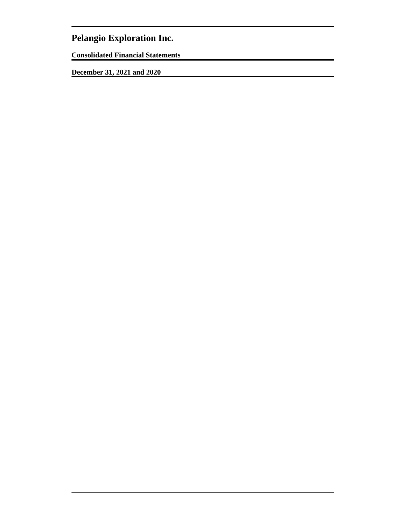**Consolidated Financial Statements**

**December 31, 2021 and 2020**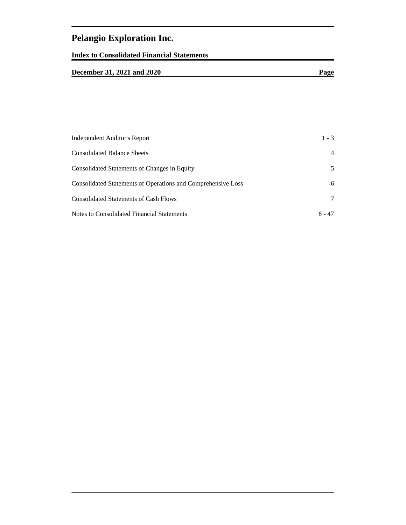### **Index to Consolidated Financial Statements**

### **December 31, 2021 and 2020 Page**

| Independent Auditor's Report                                 | $1 - 3$  |
|--------------------------------------------------------------|----------|
| <b>Consolidated Balance Sheets</b>                           | 4        |
| Consolidated Statements of Changes in Equity                 | 5        |
| Consolidated Statements of Operations and Comprehensive Loss | 6        |
| <b>Consolidated Statements of Cash Flows</b>                 | 7        |
| Notes to Consolidated Financial Statements                   | $8 - 47$ |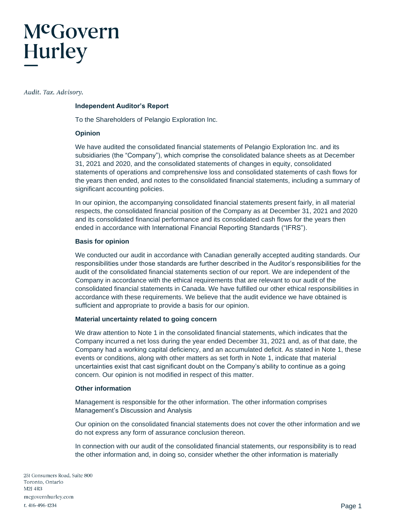# McGovern **Hurley**

Audit. Tax. Advisory.

#### **Independent Auditor's Report**

To the Shareholders of Pelangio Exploration Inc.

#### **Opinion**

We have audited the consolidated financial statements of Pelangio Exploration Inc. and its subsidiaries (the "Company"), which comprise the consolidated balance sheets as at December 31, 2021 and 2020, and the consolidated statements of changes in equity, consolidated statements of operations and comprehensive loss and consolidated statements of cash flows for the years then ended, and notes to the consolidated financial statements, including a summary of significant accounting policies.

In our opinion, the accompanying consolidated financial statements present fairly, in all material respects, the consolidated financial position of the Company as at December 31, 2021 and 2020 and its consolidated financial performance and its consolidated cash flows for the years then ended in accordance with International Financial Reporting Standards ("IFRS").

#### **Basis for opinion**

We conducted our audit in accordance with Canadian generally accepted auditing standards. Our responsibilities under those standards are further described in the Auditor's responsibilities for the audit of the consolidated financial statements section of our report. We are independent of the Company in accordance with the ethical requirements that are relevant to our audit of the consolidated financial statements in Canada. We have fulfilled our other ethical responsibilities in accordance with these requirements. We believe that the audit evidence we have obtained is sufficient and appropriate to provide a basis for our opinion.

#### **Material uncertainty related to going concern**

We draw attention to Note 1 in the consolidated financial statements, which indicates that the Company incurred a net loss during the year ended December 31, 2021 and, as of that date, the Company had a working capital deficiency, and an accumulated deficit. As stated in Note 1, these events or conditions, along with other matters as set forth in Note 1, indicate that material uncertainties exist that cast significant doubt on the Company's ability to continue as a going concern. Our opinion is not modified in respect of this matter.

#### **Other information**

Management is responsible for the other information. The other information comprises Management's Discussion and Analysis

Our opinion on the consolidated financial statements does not cover the other information and we do not express any form of assurance conclusion thereon.

In connection with our audit of the consolidated financial statements, our responsibility is to read the other information and, in doing so, consider whether the other information is materially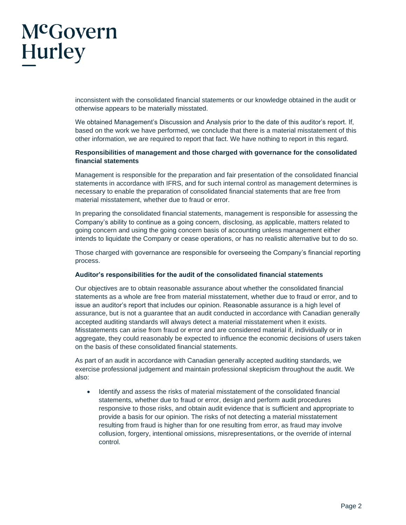# McGovern Hurley

inconsistent with the consolidated financial statements or our knowledge obtained in the audit or otherwise appears to be materially misstated.

We obtained Management's Discussion and Analysis prior to the date of this auditor's report. If, based on the work we have performed, we conclude that there is a material misstatement of this other information, we are required to report that fact. We have nothing to report in this regard.

#### **Responsibilities of management and those charged with governance for the consolidated financial statements**

Management is responsible for the preparation and fair presentation of the consolidated financial statements in accordance with IFRS, and for such internal control as management determines is necessary to enable the preparation of consolidated financial statements that are free from material misstatement, whether due to fraud or error.

In preparing the consolidated financial statements, management is responsible for assessing the Company's ability to continue as a going concern, disclosing, as applicable, matters related to going concern and using the going concern basis of accounting unless management either intends to liquidate the Company or cease operations, or has no realistic alternative but to do so.

Those charged with governance are responsible for overseeing the Company's financial reporting process.

#### **Auditor's responsibilities for the audit of the consolidated financial statements**

Our objectives are to obtain reasonable assurance about whether the consolidated financial statements as a whole are free from material misstatement, whether due to fraud or error, and to issue an auditor's report that includes our opinion. Reasonable assurance is a high level of assurance, but is not a guarantee that an audit conducted in accordance with Canadian generally accepted auditing standards will always detect a material misstatement when it exists. Misstatements can arise from fraud or error and are considered material if, individually or in aggregate, they could reasonably be expected to influence the economic decisions of users taken on the basis of these consolidated financial statements.

As part of an audit in accordance with Canadian generally accepted auditing standards, we exercise professional judgement and maintain professional skepticism throughout the audit. We also:

• Identify and assess the risks of material misstatement of the consolidated financial statements, whether due to fraud or error, design and perform audit procedures responsive to those risks, and obtain audit evidence that is sufficient and appropriate to provide a basis for our opinion. The risks of not detecting a material misstatement resulting from fraud is higher than for one resulting from error, as fraud may involve collusion, forgery, intentional omissions, misrepresentations, or the override of internal control.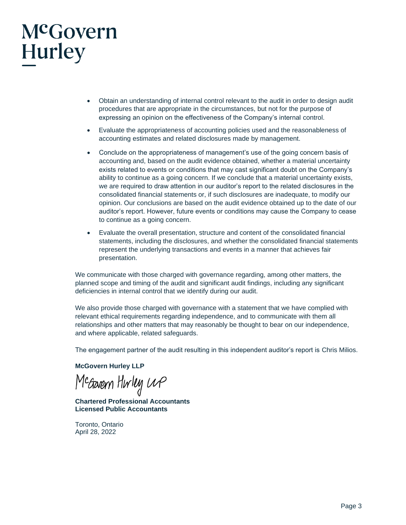# M<sup>c</sup>Govern **Hurley**

- Obtain an understanding of internal control relevant to the audit in order to design audit procedures that are appropriate in the circumstances, but not for the purpose of expressing an opinion on the effectiveness of the Company's internal control.
- Evaluate the appropriateness of accounting policies used and the reasonableness of accounting estimates and related disclosures made by management.
- Conclude on the appropriateness of management's use of the going concern basis of accounting and, based on the audit evidence obtained, whether a material uncertainty exists related to events or conditions that may cast significant doubt on the Company's ability to continue as a going concern. If we conclude that a material uncertainty exists, we are required to draw attention in our auditor's report to the related disclosures in the consolidated financial statements or, if such disclosures are inadequate, to modify our opinion. Our conclusions are based on the audit evidence obtained up to the date of our auditor's report. However, future events or conditions may cause the Company to cease to continue as a going concern.
- Evaluate the overall presentation, structure and content of the consolidated financial statements, including the disclosures, and whether the consolidated financial statements represent the underlying transactions and events in a manner that achieves fair presentation.

We communicate with those charged with governance regarding, among other matters, the planned scope and timing of the audit and significant audit findings, including any significant deficiencies in internal control that we identify during our audit.

We also provide those charged with governance with a statement that we have complied with relevant ethical requirements regarding independence, and to communicate with them all relationships and other matters that may reasonably be thought to bear on our independence, and where applicable, related safeguards.

The engagement partner of the audit resulting in this independent auditor's report is Chris Milios.

**McGovern Hurley LLP**

Me<sub>ctevern</sub> Hurley UP

**Chartered Professional Accountants Licensed Public Accountants**

Toronto, Ontario April 28, 2022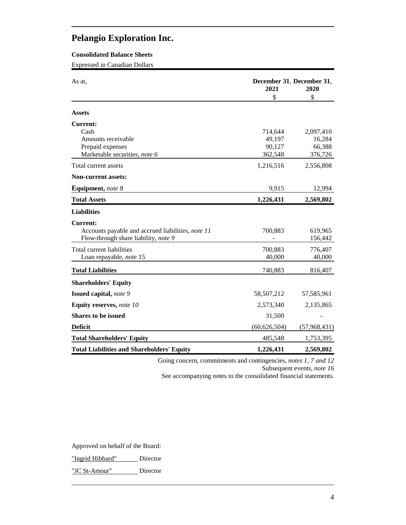#### **Consolidated Balance Sheets**

Expressed in Canadian Dollars

| As at,                                            | December 31, December 31, |              |  |
|---------------------------------------------------|---------------------------|--------------|--|
|                                                   | 2021                      | 2020         |  |
|                                                   | \$                        | \$           |  |
| <b>Assets</b>                                     |                           |              |  |
| <b>Current:</b>                                   |                           |              |  |
| Cash                                              | 714,644                   | 2,097,410    |  |
| Amounts receivable                                | 49,197                    | 16,284       |  |
| Prepaid expenses                                  | 90,127                    | 66,388       |  |
| Marketable securities, note 6                     | 362,548                   | 376,726      |  |
| Total current assets                              | 1,216,516                 | 2,556,808    |  |
| <b>Non-current assets:</b>                        |                           |              |  |
| <b>Equipment</b> , note 8                         | 9,915                     | 12,994       |  |
| <b>Total Assets</b>                               | 1,226,431                 | 2,569,802    |  |
| <b>Liabilities</b>                                |                           |              |  |
| <b>Current:</b>                                   |                           |              |  |
| Accounts payable and accrued liabilities, note 11 | 700,883                   | 619,965      |  |
| Flow-through share liability, note 9              |                           | 156,442      |  |
| Total current liabilities                         | 700,883                   | 776,407      |  |
| Loan repayable, note 15                           | 40,000                    | 40,000       |  |
|                                                   |                           |              |  |
| <b>Total Liabilities</b>                          | 740,883                   | 816,407      |  |
| <b>Shareholders' Equity</b>                       |                           |              |  |
| <b>Issued capital, note 9</b>                     | 58,507,212                | 57,585,961   |  |
| Equity reserves, note 10                          | 2,573,340                 | 2,135,865    |  |
| <b>Shares to be issued</b>                        | 31,500                    |              |  |
| <b>Deficit</b>                                    | (60, 626, 504)            | (57,968,431) |  |
| <b>Total Shareholders' Equity</b>                 | 485,548                   | 1,753,395    |  |
| <b>Total Liabilities and Shareholders' Equity</b> | 1,226,431                 | 2,569,802    |  |

Going concern, commitments and contingencies, *notes 1, 7 and 12* Subsequent events, *note 16*

See accompanying notes to the consolidated financial statements.

Approved on behalf of the Board:

"Ingrid Hibbard" Director

"JC St-Amour" Director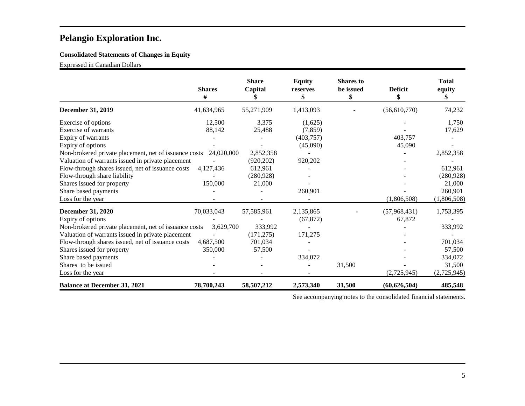#### **Consolidated Statements of Changes in Equity**

Expressed in Canadian Dollars

|                                                       | <b>Shares</b><br># | <b>Share</b><br>Capital | <b>Equity</b><br>reserves<br>\$ | <b>Shares</b> to<br>be issued<br>\$ | <b>Deficit</b><br>\$ | <b>Total</b><br>equity |
|-------------------------------------------------------|--------------------|-------------------------|---------------------------------|-------------------------------------|----------------------|------------------------|
| December 31, 2019                                     | 41,634,965         | 55,271,909              | 1,413,093                       |                                     | (56,610,770)         | 74,232                 |
| Exercise of options                                   | 12,500             | 3,375                   | (1,625)                         |                                     |                      | 1,750                  |
| Exercise of warrants                                  | 88,142             | 25,488                  | (7, 859)                        |                                     |                      | 17,629                 |
| Expiry of warrants                                    |                    |                         | (403, 757)                      |                                     | 403,757              |                        |
| Expiry of options                                     |                    |                         | (45,090)                        |                                     | 45,090               |                        |
| Non-brokered private placement, net of issuance costs | 24,020,000         | 2,852,358               |                                 |                                     |                      | 2,852,358              |
| Valuation of warrants issued in private placement     |                    | (920, 202)              | 920,202                         |                                     |                      |                        |
| Flow-through shares issued, net of issuance costs     | 4,127,436          | 612,961                 |                                 |                                     |                      | 612,961                |
| Flow-through share liability                          |                    | (280, 928)              |                                 |                                     |                      | (280, 928)             |
| Shares issued for property                            | 150,000            | 21,000                  |                                 |                                     |                      | 21,000                 |
| Share based payments                                  |                    |                         | 260,901                         |                                     |                      | 260,901                |
| Loss for the year                                     |                    |                         |                                 |                                     | (1,806,508)          | (1,806,508)            |
| December 31, 2020                                     | 70,033,043         | 57,585,961              | 2,135,865                       |                                     | (57,968,431)         | 1,753,395              |
| Expiry of options                                     |                    |                         | (67, 872)                       |                                     | 67,872               |                        |
| Non-brokered private placement, net of issuance costs | 3,629,700          | 333,992                 |                                 |                                     |                      | 333,992                |
| Valuation of warrants issued in private placement     |                    | (171, 275)              | 171,275                         |                                     |                      |                        |
| Flow-through shares issued, net of issuance costs     | 4,687,500          | 701,034                 |                                 |                                     |                      | 701,034                |
| Shares issued for property                            | 350,000            | 57,500                  |                                 |                                     |                      | 57,500                 |
| Share based payments                                  |                    |                         | 334,072                         |                                     |                      | 334,072                |
| Shares to be issued                                   |                    |                         |                                 | 31,500                              |                      | 31,500                 |
| Loss for the year                                     |                    |                         |                                 |                                     | (2,725,945)          | (2,725,945)            |
| <b>Balance at December 31, 2021</b>                   | 78,700,243         | 58,507,212              | 2,573,340                       | 31,500                              | (60, 626, 504)       | 485,548                |

See accompanying notes to the consolidated financial statements.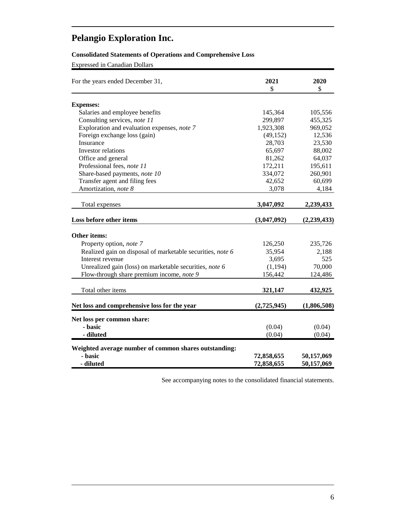### **Consolidated Statements of Operations and Comprehensive Loss**

Expressed in Canadian Dollars

| For the years ended December 31,                               | 2021        | 2020          |
|----------------------------------------------------------------|-------------|---------------|
|                                                                | \$          | \$            |
|                                                                |             |               |
| <b>Expenses:</b>                                               | 145,364     | 105,556       |
| Salaries and employee benefits<br>Consulting services, note 11 | 299,897     | 455,325       |
| Exploration and evaluation expenses, note 7                    | 1,923,308   | 969,052       |
| Foreign exchange loss (gain)                                   | (49, 152)   | 12,536        |
| Insurance                                                      | 28,703      | 23,530        |
| Investor relations                                             | 65,697      | 88,002        |
| Office and general                                             | 81,262      | 64,037        |
| Professional fees, note 11                                     | 172,211     | 195,611       |
| Share-based payments, note 10                                  | 334,072     | 260,901       |
| Transfer agent and filing fees                                 | 42,652      | 60,699        |
| Amortization, note 8                                           | 3,078       | 4,184         |
|                                                                |             |               |
| Total expenses                                                 | 3,047,092   | 2,239,433     |
|                                                                |             |               |
| Loss before other items                                        | (3,047,092) | (2, 239, 433) |
| Other items:                                                   |             |               |
|                                                                |             |               |
| Property option, <i>note</i> 7                                 | 126,250     | 235,726       |
| Realized gain on disposal of marketable securities, note 6     | 35,954      | 2,188         |
| Interest revenue                                               | 3,695       | 525           |
| Unrealized gain (loss) on marketable securities, note 6        | (1,194)     | 70,000        |
| Flow-through share premium income, note 9                      | 156,442     | 124,486       |
| Total other items                                              | 321,147     | 432,925       |
| Net loss and comprehensive loss for the year                   | (2,725,945) | (1,806,508)   |
|                                                                |             |               |
| Net loss per common share:                                     |             |               |
| - basic                                                        | (0.04)      | (0.04)        |
| - diluted                                                      | (0.04)      | (0.04)        |
| Weighted average number of common shares outstanding:          |             |               |
| - basic                                                        | 72,858,655  | 50,157,069    |
| - diluted                                                      | 72,858,655  | 50,157,069    |

See accompanying notes to the consolidated financial statements.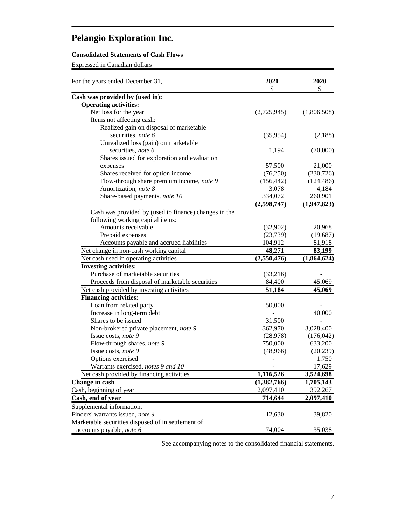### **Consolidated Statements of Cash Flows**

Expressed in Canadian dollars

| For the years ended December 31,                      | 2021<br>\$  | 2020<br>\$  |
|-------------------------------------------------------|-------------|-------------|
| Cash was provided by (used in):                       |             |             |
| <b>Operating activities:</b>                          |             |             |
| Net loss for the year                                 | (2,725,945) | (1,806,508) |
| Items not affecting cash:                             |             |             |
| Realized gain on disposal of marketable               |             |             |
| securities, note 6                                    | (35,954)    | (2,188)     |
| Unrealized loss (gain) on marketable                  |             |             |
| securities, note 6                                    | 1,194       | (70,000)    |
| Shares issued for exploration and evaluation          |             |             |
| expenses                                              | 57,500      | 21,000      |
| Shares received for option income                     | (76, 250)   | (230, 726)  |
| Flow-through share premium income, note 9             | (156, 442)  | (124, 486)  |
| Amortization, note 8                                  | 3,078       | 4,184       |
| Share-based payments, note 10                         | 334,072     | 260,901     |
|                                                       | (2,598,747) | (1,947,823) |
| Cash was provided by (used to finance) changes in the |             |             |
| following working capital items:                      |             |             |
| Amounts receivable                                    | (32,902)    | 20,968      |
| Prepaid expenses                                      | (23, 739)   | (19,687)    |
| Accounts payable and accrued liabilities              | 104,912     | 81,918      |
| Net change in non-cash working capital                | 48,271      | 83,199      |
| Net cash used in operating activities                 | (2,550,476) | (1,864,624) |
| <b>Investing activities:</b>                          |             |             |
| Purchase of marketable securities                     | (33,216)    |             |
| Proceeds from disposal of marketable securities       | 84,400      | 45,069      |
| Net cash provided by investing activities             | 51,184      | 45,069      |
| <b>Financing activities:</b>                          |             |             |
| Loan from related party                               | 50,000      |             |
| Increase in long-term debt                            |             | 40,000      |
| Shares to be issued                                   | 31,500      |             |
| Non-brokered private placement, note 9                | 362,970     | 3,028,400   |
| Issue costs, note 9                                   | (28, 978)   | (176, 042)  |
| Flow-through shares, note 9                           | 750,000     | 633,200     |
| Issue costs, note 9                                   | (48,966)    | (20, 239)   |
| Options exercised                                     |             | 1,750       |
| Warrants exercised, notes 9 and 10                    |             | 17,629      |
| Net cash provided by financing activities             | 1,116,526   | 3,524,698   |
| Change in cash                                        | (1,382,766) | 1,705,143   |
| Cash, beginning of year                               | 2,097,410   | 392,267     |
| Cash, end of year                                     | 714,644     | 2,097,410   |
| Supplemental information,                             |             |             |
| Finders' warrants issued, note 9                      | 12,630      | 39,820      |
| Marketable securities disposed of in settlement of    |             |             |
| accounts payable, note 6                              | 74,004      | 35,038      |

See accompanying notes to the consolidated financial statements.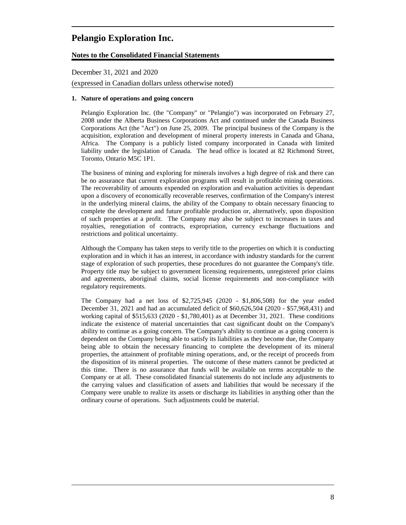#### **Notes to the Consolidated Financial Statements**

#### December 31, 2021 and 2020

(expressed in Canadian dollars unless otherwise noted)

#### **1. Nature of operations and going concern**

Pelangio Exploration Inc. (the "Company" or "Pelangio") was incorporated on February 27, 2008 under the Alberta Business Corporations Act and continued under the Canada Business Corporations Act (the "Act") on June 25, 2009. The principal business of the Company is the acquisition, exploration and development of mineral property interests in Canada and Ghana, Africa. The Company is a publicly listed company incorporated in Canada with limited liability under the legislation of Canada. The head office is located at 82 Richmond Street, Toronto, Ontario M5C 1P1.

The business of mining and exploring for minerals involves a high degree of risk and there can be no assurance that current exploration programs will result in profitable mining operations. The recoverability of amounts expended on exploration and evaluation activities is dependant upon a discovery of economically recoverable reserves, confirmation of the Company's interest in the underlying mineral claims, the ability of the Company to obtain necessary financing to complete the development and future profitable production or, alternatively, upon disposition of such properties at a profit. The Company may also be subject to increases in taxes and royalties, renegotiation of contracts, expropriation, currency exchange fluctuations and restrictions and political uncertainty.

Although the Company has taken steps to verify title to the properties on which it is conducting exploration and in which it has an interest, in accordance with industry standards for the current stage of exploration of such properties, these procedures do not guarantee the Company's title. Property title may be subject to government licensing requirements, unregistered prior claims and agreements, aboriginal claims, social license requirements and non-compliance with regulatory requirements.

The Company had a net loss of \$2,725,945 (2020 - \$1,806,508) for the year ended December 31, 2021 and had an accumulated deficit of \$60,626,504 (2020 - \$57,968,431) and working capital of \$515,633 (2020 - \$1,780,401) as at December 31, 2021. These conditions indicate the existence of material uncertainties that cast significant doubt on the Company's ability to continue as a going concern. The Company's ability to continue as a going concern is dependent on the Company being able to satisfy its liabilities as they become due, the Company being able to obtain the necessary financing to complete the development of its mineral properties, the attainment of profitable mining operations, and, or the receipt of proceeds from the disposition of its mineral properties. The outcome of these matters cannot be predicted at this time. There is no assurance that funds will be available on terms acceptable to the Company or at all. These consolidated financial statements do not include any adjustments to the carrying values and classification of assets and liabilities that would be necessary if the Company were unable to realize its assets or discharge its liabilities in anything other than the ordinary course of operations. Such adjustments could be material.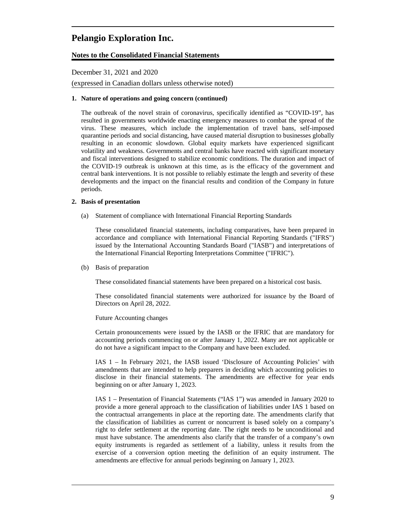#### **Notes to the Consolidated Financial Statements**

#### December 31, 2021 and 2020

(expressed in Canadian dollars unless otherwise noted)

#### **1. Nature of operations and going concern (continued)**

The outbreak of the novel strain of coronavirus, specifically identified as "COVID-19", has resulted in governments worldwide enacting emergency measures to combat the spread of the virus. These measures, which include the implementation of travel bans, self-imposed quarantine periods and social distancing, have caused material disruption to businesses globally resulting in an economic slowdown. Global equity markets have experienced significant volatility and weakness. Governments and central banks have reacted with significant monetary and fiscal interventions designed to stabilize economic conditions. The duration and impact of the COVID-19 outbreak is unknown at this time, as is the efficacy of the government and central bank interventions. It is not possible to reliably estimate the length and severity of these developments and the impact on the financial results and condition of the Company in future periods.

#### **2. Basis of presentation**

(a) Statement of compliance with International Financial Reporting Standards

These consolidated financial statements, including comparatives, have been prepared in accordance and compliance with International Financial Reporting Standards ("IFRS") issued by the International Accounting Standards Board ("IASB") and interpretations of the International Financial Reporting Interpretations Committee ("IFRIC").

(b) Basis of preparation

These consolidated financial statements have been prepared on a historical cost basis.

These consolidated financial statements were authorized for issuance by the Board of Directors on April 28, 2022.

#### Future Accounting changes

Certain pronouncements were issued by the IASB or the IFRIC that are mandatory for accounting periods commencing on or after January 1, 2022. Many are not applicable or do not have a significant impact to the Company and have been excluded.

IAS 1 – In February 2021, the IASB issued 'Disclosure of Accounting Policies' with amendments that are intended to help preparers in deciding which accounting policies to disclose in their financial statements. The amendments are effective for year ends beginning on or after January 1, 2023.

IAS 1 – Presentation of Financial Statements ("IAS 1") was amended in January 2020 to provide a more general approach to the classification of liabilities under IAS 1 based on the contractual arrangements in place at the reporting date. The amendments clarify that the classification of liabilities as current or noncurrent is based solely on a company's right to defer settlement at the reporting date. The right needs to be unconditional and must have substance. The amendments also clarify that the transfer of a company's own equity instruments is regarded as settlement of a liability, unless it results from the exercise of a conversion option meeting the definition of an equity instrument. The amendments are effective for annual periods beginning on January 1, 2023.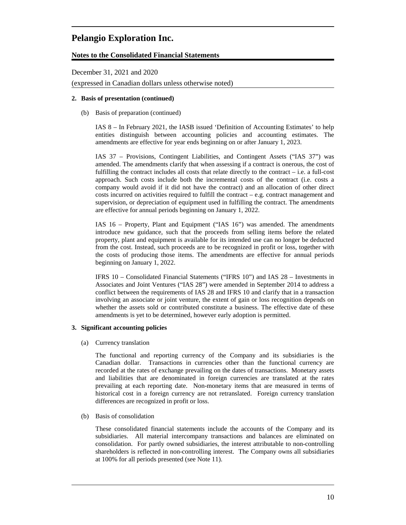#### **Notes to the Consolidated Financial Statements**

#### December 31, 2021 and 2020

(expressed in Canadian dollars unless otherwise noted)

#### **2. Basis of presentation (continued)**

(b) Basis of preparation (continued)

IAS 8 – In February 2021, the IASB issued 'Definition of Accounting Estimates' to help entities distinguish between accounting policies and accounting estimates. The amendments are effective for year ends beginning on or after January 1, 2023.

IAS 37 – Provisions, Contingent Liabilities, and Contingent Assets ("IAS 37") was amended. The amendments clarify that when assessing if a contract is onerous, the cost of fulfilling the contract includes all costs that relate directly to the contract – i.e. a full-cost approach. Such costs include both the incremental costs of the contract (i.e. costs a company would avoid if it did not have the contract) and an allocation of other direct costs incurred on activities required to fulfill the contract – e.g. contract management and supervision, or depreciation of equipment used in fulfilling the contract. The amendments are effective for annual periods beginning on January 1, 2022.

IAS 16 – Property, Plant and Equipment ("IAS 16") was amended. The amendments introduce new guidance, such that the proceeds from selling items before the related property, plant and equipment is available for its intended use can no longer be deducted from the cost. Instead, such proceeds are to be recognized in profit or loss, together with the costs of producing those items. The amendments are effective for annual periods beginning on January 1, 2022.

IFRS 10 – Consolidated Financial Statements ("IFRS 10") and IAS 28 – Investments in Associates and Joint Ventures ("IAS 28") were amended in September 2014 to address a conflict between the requirements of IAS 28 and IFRS 10 and clarify that in a transaction involving an associate or joint venture, the extent of gain or loss recognition depends on whether the assets sold or contributed constitute a business. The effective date of these amendments is yet to be determined, however early adoption is permitted.

#### **3. Significant accounting policies**

(a) Currency translation

The functional and reporting currency of the Company and its subsidiaries is the Canadian dollar. Transactions in currencies other than the functional currency are recorded at the rates of exchange prevailing on the dates of transactions. Monetary assets and liabilities that are denominated in foreign currencies are translated at the rates prevailing at each reporting date. Non-monetary items that are measured in terms of historical cost in a foreign currency are not retranslated. Foreign currency translation differences are recognized in profit or loss.

(b) Basis of consolidation

These consolidated financial statements include the accounts of the Company and its subsidiaries. All material intercompany transactions and balances are eliminated on consolidation. For partly owned subsidiaries, the interest attributable to non-controlling shareholders is reflected in non-controlling interest. The Company owns all subsidiaries at 100% for all periods presented (see Note 11).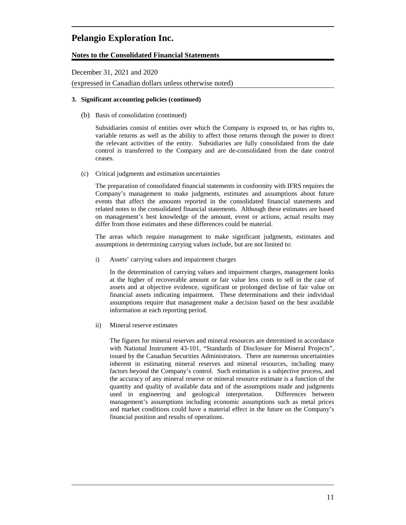#### **Notes to the Consolidated Financial Statements**

#### December 31, 2021 and 2020

(expressed in Canadian dollars unless otherwise noted)

#### **3. Significant accounting policies (continued)**

(b) Basis of consolidation (continued)

Subsidiaries consist of entities over which the Company is exposed to, or has rights to, variable returns as well as the ability to affect those returns through the power to direct the relevant activities of the entity. Subsidiaries are fully consolidated from the date control is transferred to the Company and are de-consolidated from the date control ceases.

(c) Critical judgments and estimation uncertainties

The preparation of consolidated financial statements in conformity with IFRS requires the Company's management to make judgments, estimates and assumptions about future events that affect the amounts reported in the consolidated financial statements and related notes to the consolidated financial statements. Although these estimates are based on management's best knowledge of the amount, event or actions, actual results may differ from those estimates and these differences could be material.

The areas which require management to make significant judgments, estimates and assumptions in determining carrying values include, but are not limited to:

i) Assets' carrying values and impairment charges

In the determination of carrying values and impairment charges, management looks at the higher of recoverable amount or fair value less costs to sell in the case of assets and at objective evidence, significant or prolonged decline of fair value on financial assets indicating impairment. These determinations and their individual assumptions require that management make a decision based on the best available information at each reporting period.

ii) Mineral reserve estimates

The figures for mineral reserves and mineral resources are determined in accordance with National Instrument 43-101, "Standards of Disclosure for Mineral Projects", issued by the Canadian Securities Administrators. There are numerous uncertainties inherent in estimating mineral reserves and mineral resources, including many factors beyond the Company's control. Such estimation is a subjective process, and the accuracy of any mineral reserve or mineral resource estimate is a function of the quantity and quality of available data and of the assumptions made and judgments used in engineering and geological interpretation. Differences between management's assumptions including economic assumptions such as metal prices and market conditions could have a material effect in the future on the Company's financial position and results of operations.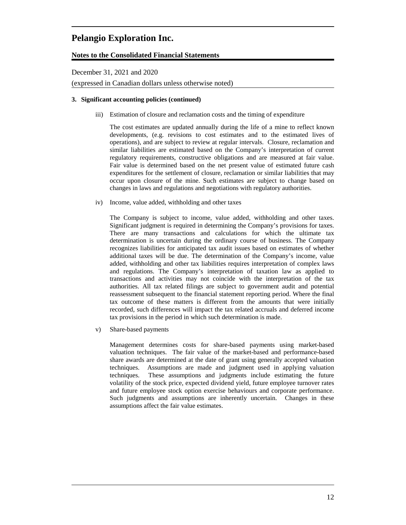#### **Notes to the Consolidated Financial Statements**

#### December 31, 2021 and 2020

(expressed in Canadian dollars unless otherwise noted)

#### **3. Significant accounting policies (continued)**

iii) Estimation of closure and reclamation costs and the timing of expenditure

The cost estimates are updated annually during the life of a mine to reflect known developments, (e.g. revisions to cost estimates and to the estimated lives of operations), and are subject to review at regular intervals. Closure, reclamation and similar liabilities are estimated based on the Company's interpretation of current regulatory requirements, constructive obligations and are measured at fair value. Fair value is determined based on the net present value of estimated future cash expenditures for the settlement of closure, reclamation or similar liabilities that may occur upon closure of the mine. Such estimates are subject to change based on changes in laws and regulations and negotiations with regulatory authorities.

iv) Income, value added, withholding and other taxes

The Company is subject to income, value added, withholding and other taxes. Significant judgment is required in determining the Company's provisions for taxes. There are many transactions and calculations for which the ultimate tax determination is uncertain during the ordinary course of business. The Company recognizes liabilities for anticipated tax audit issues based on estimates of whether additional taxes will be due. The determination of the Company's income, value added, withholding and other tax liabilities requires interpretation of complex laws and regulations. The Company's interpretation of taxation law as applied to transactions and activities may not coincide with the interpretation of the tax authorities. All tax related filings are subject to government audit and potential reassessment subsequent to the financial statement reporting period. Where the final tax outcome of these matters is different from the amounts that were initially recorded, such differences will impact the tax related accruals and deferred income tax provisions in the period in which such determination is made.

v) Share-based payments

Management determines costs for share-based payments using market-based valuation techniques. The fair value of the market-based and performance-based share awards are determined at the date of grant using generally accepted valuation techniques. Assumptions are made and judgment used in applying valuation techniques. These assumptions and judgments include estimating the future volatility of the stock price, expected dividend yield, future employee turnover rates and future employee stock option exercise behaviours and corporate performance. Such judgments and assumptions are inherently uncertain. Changes in these assumptions affect the fair value estimates.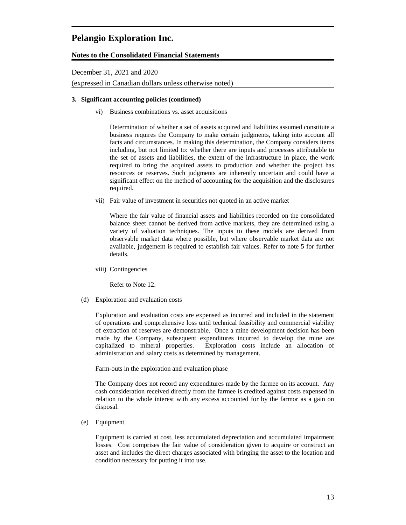#### **Notes to the Consolidated Financial Statements**

#### December 31, 2021 and 2020

#### (expressed in Canadian dollars unless otherwise noted)

#### **3. Significant accounting policies (continued)**

vi) Business combinations vs. asset acquisitions

Determination of whether a set of assets acquired and liabilities assumed constitute a business requires the Company to make certain judgments, taking into account all facts and circumstances. In making this determination, the Company considers items including, but not limited to: whether there are inputs and processes attributable to the set of assets and liabilities, the extent of the infrastructure in place, the work required to bring the acquired assets to production and whether the project has resources or reserves. Such judgments are inherently uncertain and could have a significant effect on the method of accounting for the acquisition and the disclosures required.

vii) Fair value of investment in securities not quoted in an active market

Where the fair value of financial assets and liabilities recorded on the consolidated balance sheet cannot be derived from active markets, they are determined using a variety of valuation techniques. The inputs to these models are derived from observable market data where possible, but where observable market data are not available, judgement is required to establish fair values. Refer to note 5 for further details.

viii) Contingencies

Refer to Note 12.

(d) Exploration and evaluation costs

Exploration and evaluation costs are expensed as incurred and included in the statement of operations and comprehensive loss until technical feasibility and commercial viability of extraction of reserves are demonstrable. Once a mine development decision has been made by the Company, subsequent expenditures incurred to develop the mine are capitalized to mineral properties. Exploration costs include an allocation of administration and salary costs as determined by management.

Farm-outs in the exploration and evaluation phase

The Company does not record any expenditures made by the farmee on its account. Any cash consideration received directly from the farmee is credited against costs expensed in relation to the whole interest with any excess accounted for by the farmor as a gain on disposal.

(e) Equipment

Equipment is carried at cost, less accumulated depreciation and accumulated impairment losses. Cost comprises the fair value of consideration given to acquire or construct an asset and includes the direct charges associated with bringing the asset to the location and condition necessary for putting it into use.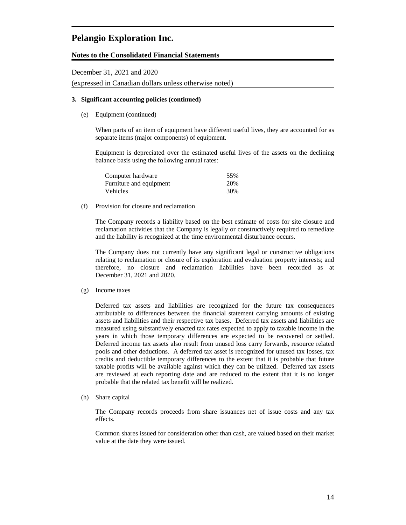#### **Notes to the Consolidated Financial Statements**

#### December 31, 2021 and 2020

(expressed in Canadian dollars unless otherwise noted)

#### **3. Significant accounting policies (continued)**

(e) Equipment (continued)

When parts of an item of equipment have different useful lives, they are accounted for as separate items (major components) of equipment.

Equipment is depreciated over the estimated useful lives of the assets on the declining balance basis using the following annual rates:

| Computer hardware       | 55% |
|-------------------------|-----|
| Furniture and equipment | 20% |
| <b>Vehicles</b>         | 30% |

#### (f) Provision for closure and reclamation

The Company records a liability based on the best estimate of costs for site closure and reclamation activities that the Company is legally or constructively required to remediate and the liability is recognized at the time environmental disturbance occurs.

The Company does not currently have any significant legal or constructive obligations relating to reclamation or closure of its exploration and evaluation property interests; and therefore, no closure and reclamation liabilities have been recorded as at December 31, 2021 and 2020.

(g) Income taxes

Deferred tax assets and liabilities are recognized for the future tax consequences attributable to differences between the financial statement carrying amounts of existing assets and liabilities and their respective tax bases. Deferred tax assets and liabilities are measured using substantively enacted tax rates expected to apply to taxable income in the years in which those temporary differences are expected to be recovered or settled. Deferred income tax assets also result from unused loss carry forwards, resource related pools and other deductions. A deferred tax asset is recognized for unused tax losses, tax credits and deductible temporary differences to the extent that it is probable that future taxable profits will be available against which they can be utilized. Deferred tax assets are reviewed at each reporting date and are reduced to the extent that it is no longer probable that the related tax benefit will be realized.

(h) Share capital

The Company records proceeds from share issuances net of issue costs and any tax effects.

Common shares issued for consideration other than cash, are valued based on their market value at the date they were issued.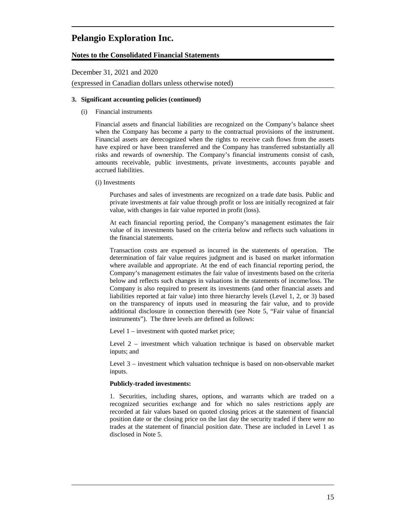#### **Notes to the Consolidated Financial Statements**

#### December 31, 2021 and 2020

(expressed in Canadian dollars unless otherwise noted)

#### **3. Significant accounting policies (continued)**

(i) Financial instruments

Financial assets and financial liabilities are recognized on the Company's balance sheet when the Company has become a party to the contractual provisions of the instrument. Financial assets are derecognized when the rights to receive cash flows from the assets have expired or have been transferred and the Company has transferred substantially all risks and rewards of ownership. The Company's financial instruments consist of cash, amounts receivable, public investments, private investments, accounts payable and accrued liabilities.

(i) Investments

Purchases and sales of investments are recognized on a trade date basis. Public and private investments at fair value through profit or loss are initially recognized at fair value, with changes in fair value reported in profit (loss).

At each financial reporting period, the Company's management estimates the fair value of its investments based on the criteria below and reflects such valuations in the financial statements.

Transaction costs are expensed as incurred in the statements of operation. The determination of fair value requires judgment and is based on market information where available and appropriate. At the end of each financial reporting period, the Company's management estimates the fair value of investments based on the criteria below and reflects such changes in valuations in the statements of income/loss. The Company is also required to present its investments (and other financial assets and liabilities reported at fair value) into three hierarchy levels (Level 1, 2, or 3) based on the transparency of inputs used in measuring the fair value, and to provide additional disclosure in connection therewith (see Note 5, "Fair value of financial instruments"). The three levels are defined as follows:

Level 1 – investment with quoted market price;

Level 2 – investment which valuation technique is based on observable market inputs; and

Level 3 – investment which valuation technique is based on non-observable market inputs.

#### **Publicly-traded investments:**

1. Securities, including shares, options, and warrants which are traded on a recognized securities exchange and for which no sales restrictions apply are recorded at fair values based on quoted closing prices at the statement of financial position date or the closing price on the last day the security traded if there were no trades at the statement of financial position date. These are included in Level 1 as disclosed in Note 5.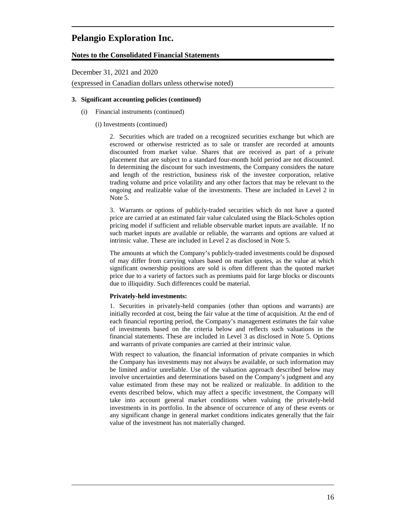#### **Notes to the Consolidated Financial Statements**

#### December 31, 2021 and 2020

(expressed in Canadian dollars unless otherwise noted)

#### **3. Significant accounting policies (continued)**

(i) Financial instruments (continued)

#### (i) Investments (continued)

2. Securities which are traded on a recognized securities exchange but which are escrowed or otherwise restricted as to sale or transfer are recorded at amounts discounted from market value. Shares that are received as part of a private placement that are subject to a standard four-month hold period are not discounted. In determining the discount for such investments, the Company considers the nature and length of the restriction, business risk of the investee corporation, relative trading volume and price volatility and any other factors that may be relevant to the ongoing and realizable value of the investments. These are included in Level 2 in Note 5.

3. Warrants or options of publicly-traded securities which do not have a quoted price are carried at an estimated fair value calculated using the Black-Scholes option pricing model if sufficient and reliable observable market inputs are available. If no such market inputs are available or reliable, the warrants and options are valued at intrinsic value. These are included in Level 2 as disclosed in Note 5.

The amounts at which the Company's publicly-traded investments could be disposed of may differ from carrying values based on market quotes, as the value at which significant ownership positions are sold is often different than the quoted market price due to a variety of factors such as premiums paid for large blocks or discounts due to illiquidity. Such differences could be material.

#### **Privately-held investments:**

1. Securities in privately-held companies (other than options and warrants) are initially recorded at cost, being the fair value at the time of acquisition. At the end of each financial reporting period, the Company's management estimates the fair value of investments based on the criteria below and reflects such valuations in the financial statements. These are included in Level 3 as disclosed in Note 5. Options and warrants of private companies are carried at their intrinsic value.

With respect to valuation, the financial information of private companies in which the Company has investments may not always be available, or such information may be limited and/or unreliable. Use of the valuation approach described below may involve uncertainties and determinations based on the Company's judgment and any value estimated from these may not be realized or realizable. In addition to the events described below, which may affect a specific investment, the Company will take into account general market conditions when valuing the privately-held investments in its portfolio. In the absence of occurrence of any of these events or any significant change in general market conditions indicates generally that the fair value of the investment has not materially changed.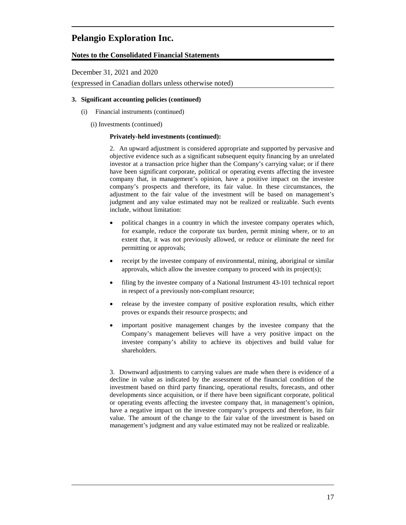#### **Notes to the Consolidated Financial Statements**

#### December 31, 2021 and 2020

#### (expressed in Canadian dollars unless otherwise noted)

#### **3. Significant accounting policies (continued)**

- (i) Financial instruments (continued)
	- (i) Investments (continued)

#### **Privately-held investments (continued):**

2. An upward adjustment is considered appropriate and supported by pervasive and objective evidence such as a significant subsequent equity financing by an unrelated investor at a transaction price higher than the Company's carrying value; or if there have been significant corporate, political or operating events affecting the investee company that, in management's opinion, have a positive impact on the investee company's prospects and therefore, its fair value. In these circumstances, the adjustment to the fair value of the investment will be based on management's judgment and any value estimated may not be realized or realizable. Such events include, without limitation:

- political changes in a country in which the investee company operates which, for example, reduce the corporate tax burden, permit mining where, or to an extent that, it was not previously allowed, or reduce or eliminate the need for permitting or approvals;
- receipt by the investee company of environmental, mining, aboriginal or similar approvals, which allow the investee company to proceed with its project(s);
- filing by the investee company of a National Instrument 43-101 technical report in respect of a previously non-compliant resource;
- release by the investee company of positive exploration results, which either proves or expands their resource prospects; and
- important positive management changes by the investee company that the Company's management believes will have a very positive impact on the investee company's ability to achieve its objectives and build value for shareholders.

3. Downward adjustments to carrying values are made when there is evidence of a decline in value as indicated by the assessment of the financial condition of the investment based on third party financing, operational results, forecasts, and other developments since acquisition, or if there have been significant corporate, political or operating events affecting the investee company that, in management's opinion, have a negative impact on the investee company's prospects and therefore, its fair value. The amount of the change to the fair value of the investment is based on management's judgment and any value estimated may not be realized or realizable.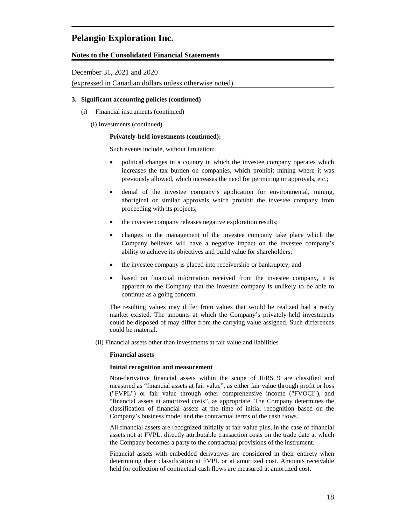#### **Notes to the Consolidated Financial Statements**

#### December 31, 2021 and 2020

(expressed in Canadian dollars unless otherwise noted)

#### **3. Significant accounting policies (continued)**

- (i) Financial instruments (continued)
	- (i) Investments (continued)

#### **Privately-held investments (continued):**

Such events include, without limitation:

- political changes in a country in which the investee company operates which increases the tax burden on companies, which prohibit mining where it was previously allowed, which increases the need for permitting or approvals, etc.;
- denial of the investee company's application for environmental, mining, aboriginal or similar approvals which prohibit the investee company from proceeding with its projects;
- the investee company releases negative exploration results;
- changes to the management of the investee company take place which the Company believes will have a negative impact on the investee company's ability to achieve its objectives and build value for shareholders;
- the investee company is placed into receivership or bankruptcy; and
- based on financial information received from the investee company, it is apparent to the Company that the investee company is unlikely to be able to continue as a going concern.

The resulting values may differ from values that would be realized had a ready market existed. The amounts at which the Company's privately-held investments could be disposed of may differ from the carrying value assigned. Such differences could be material.

(ii) Financial assets other than investments at fair value and liabilities

#### **Financial assets**

#### **Initial recognition and measurement**

Non-derivative financial assets within the scope of IFRS 9 are classified and measured as "financial assets at fair value", as either fair value through profit or loss ("FVPL") or fair value through other comprehensive income ("FVOCI"), and "financial assets at amortized costs", as appropriate. The Company determines the classification of financial assets at the time of initial recognition based on the Company's business model and the contractual terms of the cash flows.

All financial assets are recognized initially at fair value plus, in the case of financial assets not at FVPL, directly attributable transaction costs on the trade date at which the Company becomes a party to the contractual provisions of the instrument.

Financial assets with embedded derivatives are considered in their entirety when determining their classification at FVPL or at amortized cost. Amounts receivable held for collection of contractual cash flows are measured at amortized cost.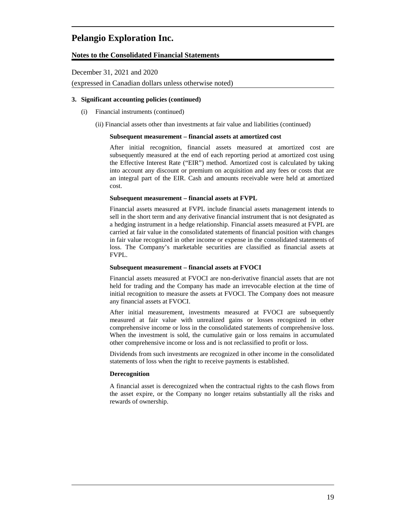#### **Notes to the Consolidated Financial Statements**

#### December 31, 2021 and 2020

(expressed in Canadian dollars unless otherwise noted)

#### **3. Significant accounting policies (continued)**

- (i) Financial instruments (continued)
	- (ii) Financial assets other than investments at fair value and liabilities (continued)

#### **Subsequent measurement – financial assets at amortized cost**

After initial recognition, financial assets measured at amortized cost are subsequently measured at the end of each reporting period at amortized cost using the Effective Interest Rate ("EIR") method. Amortized cost is calculated by taking into account any discount or premium on acquisition and any fees or costs that are an integral part of the EIR. Cash and amounts receivable were held at amortized cost.

#### **Subsequent measurement – financial assets at FVPL**

Financial assets measured at FVPL include financial assets management intends to sell in the short term and any derivative financial instrument that is not designated as a hedging instrument in a hedge relationship. Financial assets measured at FVPL are carried at fair value in the consolidated statements of financial position with changes in fair value recognized in other income or expense in the consolidated statements of loss. The Company's marketable securities are classified as financial assets at FVPL.

#### **Subsequent measurement – financial assets at FVOCI**

Financial assets measured at FVOCI are non-derivative financial assets that are not held for trading and the Company has made an irrevocable election at the time of initial recognition to measure the assets at FVOCI. The Company does not measure any financial assets at FVOCI.

After initial measurement, investments measured at FVOCI are subsequently measured at fair value with unrealized gains or losses recognized in other comprehensive income or loss in the consolidated statements of comprehensive loss. When the investment is sold, the cumulative gain or loss remains in accumulated other comprehensive income or loss and is not reclassified to profit or loss.

Dividends from such investments are recognized in other income in the consolidated statements of loss when the right to receive payments is established.

#### **Derecognition**

A financial asset is derecognized when the contractual rights to the cash flows from the asset expire, or the Company no longer retains substantially all the risks and rewards of ownership.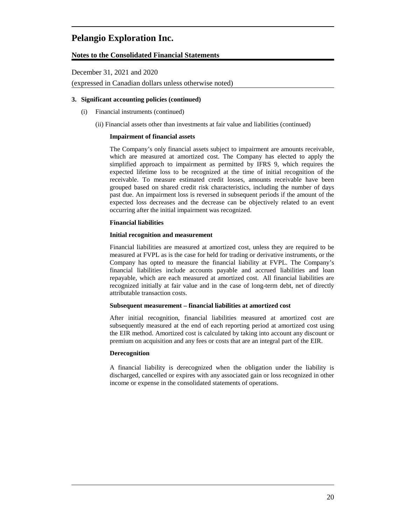#### **Notes to the Consolidated Financial Statements**

#### December 31, 2021 and 2020

(expressed in Canadian dollars unless otherwise noted)

#### **3. Significant accounting policies (continued)**

- (i) Financial instruments (continued)
	- (ii) Financial assets other than investments at fair value and liabilities (continued)

#### **Impairment of financial assets**

The Company's only financial assets subject to impairment are amounts receivable, which are measured at amortized cost. The Company has elected to apply the simplified approach to impairment as permitted by IFRS 9, which requires the expected lifetime loss to be recognized at the time of initial recognition of the receivable. To measure estimated credit losses, amounts receivable have been grouped based on shared credit risk characteristics, including the number of days past due. An impairment loss is reversed in subsequent periods if the amount of the expected loss decreases and the decrease can be objectively related to an event occurring after the initial impairment was recognized.

#### **Financial liabilities**

#### **Initial recognition and measurement**

Financial liabilities are measured at amortized cost, unless they are required to be measured at FVPL as is the case for held for trading or derivative instruments, or the Company has opted to measure the financial liability at FVPL. The Company's financial liabilities include accounts payable and accrued liabilities and loan repayable, which are each measured at amortized cost. All financial liabilities are recognized initially at fair value and in the case of long-term debt, net of directly attributable transaction costs.

#### **Subsequent measurement – financial liabilities at amortized cost**

After initial recognition, financial liabilities measured at amortized cost are subsequently measured at the end of each reporting period at amortized cost using the EIR method. Amortized cost is calculated by taking into account any discount or premium on acquisition and any fees or costs that are an integral part of the EIR.

#### **Derecognition**

A financial liability is derecognized when the obligation under the liability is discharged, cancelled or expires with any associated gain or loss recognized in other income or expense in the consolidated statements of operations.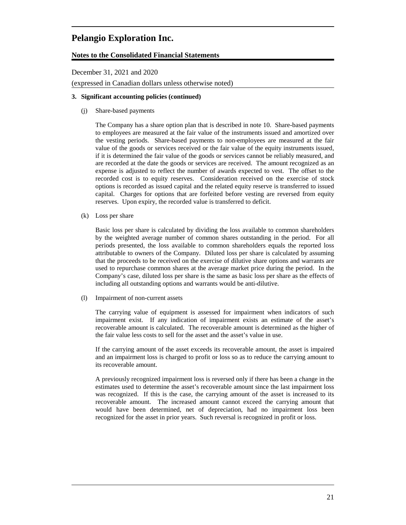#### **Notes to the Consolidated Financial Statements**

#### December 31, 2021 and 2020

(expressed in Canadian dollars unless otherwise noted)

#### **3. Significant accounting policies (continued)**

(j) Share-based payments

The Company has a share option plan that is described in note 10. Share-based payments to employees are measured at the fair value of the instruments issued and amortized over the vesting periods. Share-based payments to non-employees are measured at the fair value of the goods or services received or the fair value of the equity instruments issued, if it is determined the fair value of the goods or services cannot be reliably measured, and are recorded at the date the goods or services are received. The amount recognized as an expense is adjusted to reflect the number of awards expected to vest. The offset to the recorded cost is to equity reserves. Consideration received on the exercise of stock options is recorded as issued capital and the related equity reserve is transferred to issued capital. Charges for options that are forfeited before vesting are reversed from equity reserves. Upon expiry, the recorded value is transferred to deficit.

(k) Loss per share

Basic loss per share is calculated by dividing the loss available to common shareholders by the weighted average number of common shares outstanding in the period. For all periods presented, the loss available to common shareholders equals the reported loss attributable to owners of the Company. Diluted loss per share is calculated by assuming that the proceeds to be received on the exercise of dilutive share options and warrants are used to repurchase common shares at the average market price during the period. In the Company's case, diluted loss per share is the same as basic loss per share as the effects of including all outstanding options and warrants would be anti-dilutive.

(l) Impairment of non-current assets

The carrying value of equipment is assessed for impairment when indicators of such impairment exist. If any indication of impairment exists an estimate of the asset's recoverable amount is calculated. The recoverable amount is determined as the higher of the fair value less costs to sell for the asset and the asset's value in use.

If the carrying amount of the asset exceeds its recoverable amount, the asset is impaired and an impairment loss is charged to profit or loss so as to reduce the carrying amount to its recoverable amount.

A previously recognized impairment loss is reversed only if there has been a change in the estimates used to determine the asset's recoverable amount since the last impairment loss was recognized. If this is the case, the carrying amount of the asset is increased to its recoverable amount. The increased amount cannot exceed the carrying amount that would have been determined, net of depreciation, had no impairment loss been recognized for the asset in prior years. Such reversal is recognized in profit or loss.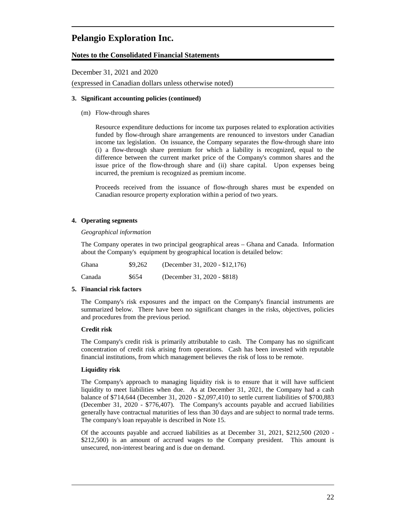#### **Notes to the Consolidated Financial Statements**

#### December 31, 2021 and 2020

(expressed in Canadian dollars unless otherwise noted)

#### **3. Significant accounting policies (continued)**

(m) Flow-through shares

Resource expenditure deductions for income tax purposes related to exploration activities funded by flow-through share arrangements are renounced to investors under Canadian income tax legislation. On issuance, the Company separates the flow-through share into (i) a flow-through share premium for which a liability is recognized, equal to the difference between the current market price of the Company's common shares and the issue price of the flow-through share and (ii) share capital. Upon expenses being incurred, the premium is recognized as premium income.

Proceeds received from the issuance of flow-through shares must be expended on Canadian resource property exploration within a period of two years.

#### **4. Operating segments**

*Geographical information*

The Company operates in two principal geographical areas – Ghana and Canada. Information about the Company's equipment by geographical location is detailed below:

| <b>Ghana</b> | \$9,262 | (December 31, 2020 - \$12,176) |
|--------------|---------|--------------------------------|
| Canada       | \$654   | (December 31, 2020 - \$818)    |

#### **5. Financial risk factors**

The Company's risk exposures and the impact on the Company's financial instruments are summarized below. There have been no significant changes in the risks, objectives, policies and procedures from the previous period.

#### **Credit risk**

The Company's credit risk is primarily attributable to cash. The Company has no significant concentration of credit risk arising from operations. Cash has been invested with reputable financial institutions, from which management believes the risk of loss to be remote.

#### **Liquidity risk**

The Company's approach to managing liquidity risk is to ensure that it will have sufficient liquidity to meet liabilities when due. As at December 31, 2021, the Company had a cash balance of \$714,644 (December 31, 2020 - \$2,097,410) to settle current liabilities of \$700,883 (December 31, 2020 - \$776,407). The Company's accounts payable and accrued liabilities generally have contractual maturities of less than 30 days and are subject to normal trade terms. The company's loan repayable is described in Note 15.

Of the accounts payable and accrued liabilities as at December 31, 2021, \$212,500 (2020 - \$212,500) is an amount of accrued wages to the Company president. This amount is unsecured, non-interest bearing and is due on demand.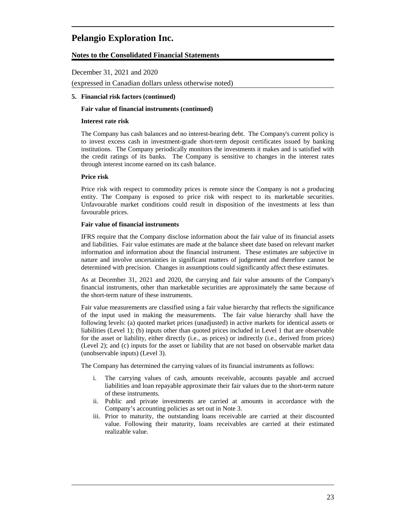#### **Notes to the Consolidated Financial Statements**

December 31, 2021 and 2020

(expressed in Canadian dollars unless otherwise noted)

#### **5. Financial risk factors (continued)**

#### **Fair value of financial instruments (continued)**

#### **Interest rate risk**

The Company has cash balances and no interest-bearing debt. The Company's current policy is to invest excess cash in investment-grade short-term deposit certificates issued by banking institutions. The Company periodically monitors the investments it makes and is satisfied with the credit ratings of its banks. The Company is sensitive to changes in the interest rates through interest income earned on its cash balance.

#### **Price risk**

Price risk with respect to commodity prices is remote since the Company is not a producing entity. The Company is exposed to price risk with respect to its marketable securities. Unfavourable market conditions could result in disposition of the investments at less than favourable prices.

#### **Fair value of financial instruments**

IFRS require that the Company disclose information about the fair value of its financial assets and liabilities. Fair value estimates are made at the balance sheet date based on relevant market information and information about the financial instrument. These estimates are subjective in nature and involve uncertainties in significant matters of judgement and therefore cannot be determined with precision. Changes in assumptions could significantly affect these estimates.

As at December 31, 2021 and 2020, the carrying and fair value amounts of the Company's financial instruments, other than marketable securities are approximately the same because of the short-term nature of these instruments.

Fair value measurements are classified using a fair value hierarchy that reflects the significance of the input used in making the measurements. The fair value hierarchy shall have the following levels: (a) quoted market prices (unadjusted) in active markets for identical assets or liabilities (Level 1); (b) inputs other than quoted prices included in Level 1 that are observable for the asset or liability, either directly (i.e., as prices) or indirectly (i.e., derived from prices) (Level 2); and (c) inputs for the asset or liability that are not based on observable market data (unobservable inputs) (Level 3).

The Company has determined the carrying values of its financial instruments as follows:

- i. The carrying values of cash, amounts receivable, accounts payable and accrued liabilities and loan repayable approximate their fair values due to the short-term nature of these instruments.
- ii. Public and private investments are carried at amounts in accordance with the Company's accounting policies as set out in Note 3.
- iii. Prior to maturity, the outstanding loans receivable are carried at their discounted value. Following their maturity, loans receivables are carried at their estimated realizable value.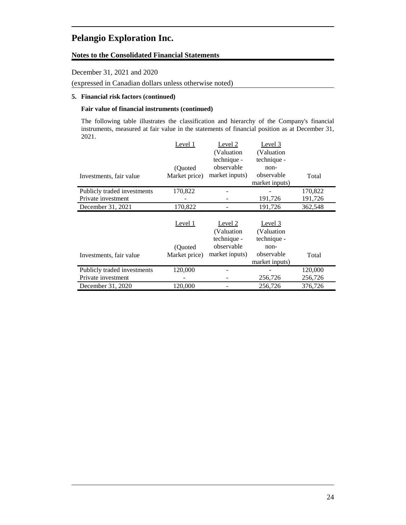### **Notes to the Consolidated Financial Statements**

#### December 31, 2021 and 2020

(expressed in Canadian dollars unless otherwise noted)

#### **5. Financial risk factors (continued)**

#### **Fair value of financial instruments (continued)**

The following table illustrates the classification and hierarchy of the Company's financial instruments, measured at fair value in the statements of financial position as at December 31, 2021.

|                             | Level 1       | Level 2        | Level 3        |         |
|-----------------------------|---------------|----------------|----------------|---------|
|                             |               | (Valuation)    | (Valuation)    |         |
|                             |               | technique -    | technique -    |         |
|                             | (Ouoted       | observable     | $non-$         |         |
| Investments, fair value     | Market price) | market inputs) | observable     | Total   |
|                             |               |                | market inputs) |         |
| Publicly traded investments | 170,822       |                |                | 170,822 |
| Private investment          |               |                | 191,726        | 191,726 |
| December 31, 2021           | 170,822       |                | 191,726        | 362,548 |
|                             |               |                |                |         |
|                             |               |                |                |         |
|                             | Level 1       | Level 2        | Level 3        |         |
|                             |               | (Valuation)    | (Valuation)    |         |
|                             |               | technique -    | technique -    |         |
|                             | (Quoted       | observable     | $non-$         |         |
| Investments, fair value     | Market price) | market inputs) | observable     | Total   |
|                             |               |                | market inputs) |         |
| Publicly traded investments | 120,000       |                |                | 120,000 |
| Private investment          |               |                | 256,726        | 256,726 |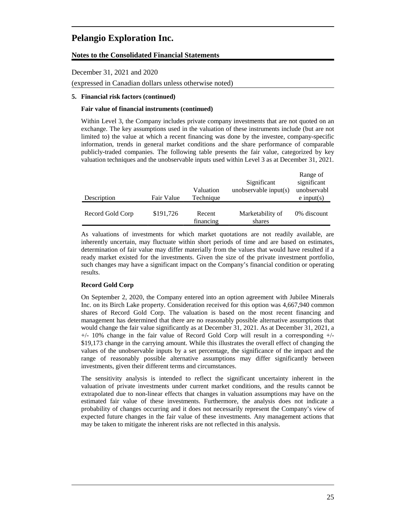#### **Notes to the Consolidated Financial Statements**

#### December 31, 2021 and 2020

(expressed in Canadian dollars unless otherwise noted)

#### **5. Financial risk factors (continued)**

#### **Fair value of financial instruments (continued)**

Within Level 3, the Company includes private company investments that are not quoted on an exchange. The key assumptions used in the valuation of these instruments include (but are not limited to) the value at which a recent financing was done by the investee, company-specific information, trends in general market conditions and the share performance of comparable publicly-traded companies. The following table presents the fair value, categorized by key valuation techniques and the unobservable inputs used within Level 3 as at December 31, 2021.

| Description      | Fair Value | Valuation<br>Technique | Significant<br>unobservable input(s) | Range of<br>significant<br>unobservabl<br>$e$ input(s) |
|------------------|------------|------------------------|--------------------------------------|--------------------------------------------------------|
| Record Gold Corp | \$191,726  | Recent<br>financing    | Marketability of<br>shares           | 0% discount                                            |

As valuations of investments for which market quotations are not readily available, are inherently uncertain, may fluctuate within short periods of time and are based on estimates, determination of fair value may differ materially from the values that would have resulted if a ready market existed for the investments. Given the size of the private investment portfolio, such changes may have a significant impact on the Company's financial condition or operating results.

#### **Record Gold Corp**

On September 2, 2020, the Company entered into an option agreement with Jubilee Minerals Inc. on its Birch Lake property. Consideration received for this option was 4,667,940 common shares of Record Gold Corp. The valuation is based on the most recent financing and management has determined that there are no reasonably possible alternative assumptions that would change the fair value significantly as at December 31, 2021. As at December 31, 2021, a  $+/-$  10% change in the fair value of Record Gold Corp will result in a corresponding  $+/-$ \$19,173 change in the carrying amount. While this illustrates the overall effect of changing the values of the unobservable inputs by a set percentage, the significance of the impact and the range of reasonably possible alternative assumptions may differ significantly between investments, given their different terms and circumstances.

The sensitivity analysis is intended to reflect the significant uncertainty inherent in the valuation of private investments under current market conditions, and the results cannot be extrapolated due to non-linear effects that changes in valuation assumptions may have on the estimated fair value of these investments. Furthermore, the analysis does not indicate a probability of changes occurring and it does not necessarily represent the Company's view of expected future changes in the fair value of these investments. Any management actions that may be taken to mitigate the inherent risks are not reflected in this analysis.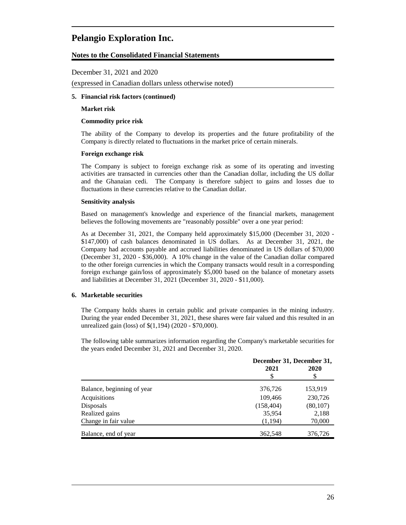#### **Notes to the Consolidated Financial Statements**

#### December 31, 2021 and 2020

(expressed in Canadian dollars unless otherwise noted)

#### **5. Financial risk factors (continued)**

#### **Market risk**

#### **Commodity price risk**

The ability of the Company to develop its properties and the future profitability of the Company is directly related to fluctuations in the market price of certain minerals.

#### **Foreign exchange risk**

The Company is subject to foreign exchange risk as some of its operating and investing activities are transacted in currencies other than the Canadian dollar, including the US dollar and the Ghanaian cedi. The Company is therefore subject to gains and losses due to fluctuations in these currencies relative to the Canadian dollar.

#### **Sensitivity analysis**

Based on management's knowledge and experience of the financial markets, management believes the following movements are "reasonably possible" over a one year period:

As at December 31, 2021, the Company held approximately \$15,000 (December 31, 2020 - \$147,000) of cash balances denominated in US dollars. As at December 31, 2021, the Company had accounts payable and accrued liabilities denominated in US dollars of \$70,000 (December 31, 2020 - \$36,000). A 10% change in the value of the Canadian dollar compared to the other foreign currencies in which the Company transacts would result in a corresponding foreign exchange gain/loss of approximately \$5,000 based on the balance of monetary assets and liabilities at December 31, 2021 (December 31, 2020 - \$11,000).

#### **6. Marketable securities**

The Company holds shares in certain public and private companies in the mining industry. During the year ended December 31, 2021, these shares were fair valued and this resulted in an unrealized gain (loss) of \$(1,194) (2020 - \$70,000).

The following table summarizes information regarding the Company's marketable securities for the years ended December 31, 2021 and December 31, 2020.

|                            | December 31, December 31, |           |  |
|----------------------------|---------------------------|-----------|--|
|                            | 2021                      | 2020      |  |
|                            | \$                        |           |  |
| Balance, beginning of year | 376,726                   | 153,919   |  |
| Acquisitions               | 109,466                   | 230,726   |  |
| Disposals                  | (158, 404)                | (80, 107) |  |
| Realized gains             | 35,954                    | 2,188     |  |
| Change in fair value       | (1,194)                   | 70,000    |  |
| Balance, end of year       | 362,548                   | 376,726   |  |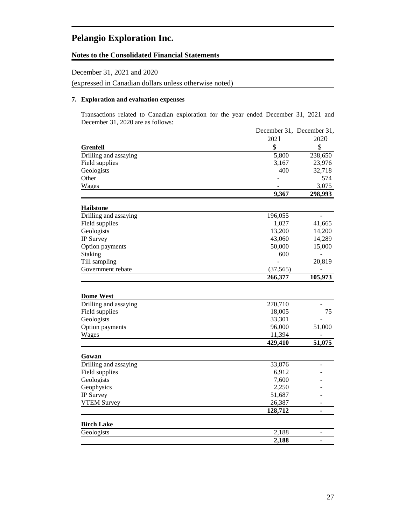### **Notes to the Consolidated Financial Statements**

December 31, 2021 and 2020

(expressed in Canadian dollars unless otherwise noted)

#### **7. Exploration and evaluation expenses**

Transactions related to Canadian exploration for the year ended December 31, 2021 and December 31, 2020 are as follows: December 31, December 31,

|                       |           | December 31, December 31, |
|-----------------------|-----------|---------------------------|
|                       | 2021      | 2020                      |
| <b>Grenfell</b>       | \$        | \$                        |
| Drilling and assaying | 5,800     | 238,650                   |
| Field supplies        | 3,167     | 23,976                    |
| Geologists            | 400       | 32,718                    |
| Other                 |           | 574                       |
| Wages                 |           | 3,075                     |
|                       | 9,367     | 298,993                   |
| <b>Hailstone</b>      |           |                           |
| Drilling and assaying | 196,055   | ÷,                        |
| Field supplies        | 1,027     | 41,665                    |
| Geologists            | 13,200    | 14,200                    |
| IP Survey             | 43,060    | 14,289                    |
| Option payments       | 50,000    | 15,000                    |
| Staking               | 600       |                           |
| Till sampling         |           | 20,819                    |
| Government rebate     | (37, 565) |                           |
|                       | 266,377   | 105,973                   |
|                       |           |                           |
| <b>Dome West</b>      |           |                           |
| Drilling and assaying | 270,710   | ÷,                        |
| Field supplies        | 18,005    | 75                        |
| Geologists            | 33,301    |                           |
| Option payments       | 96,000    | 51,000                    |
| Wages                 | 11,394    |                           |
|                       | 429,410   | 51,075                    |
| Gowan                 |           |                           |
| Drilling and assaying | 33,876    |                           |
| Field supplies        | 6,912     |                           |
| Geologists            | 7,600     |                           |
| Geophysics            | 2,250     |                           |
| <b>IP Survey</b>      | 51,687    |                           |
| <b>VTEM Survey</b>    | 26,387    |                           |
|                       | 128,712   | ۰                         |
| <b>Birch Lake</b>     |           |                           |
| Geologists            | 2,188     | $\overline{a}$            |
|                       | 2,188     | ۰                         |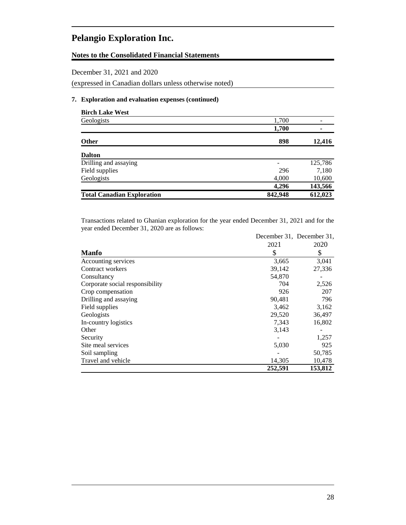### **Notes to the Consolidated Financial Statements**

December 31, 2021 and 2020

(expressed in Canadian dollars unless otherwise noted)

#### **7. Exploration and evaluation expenses (continued)**

| <b>Birch Lake West</b>            |         |         |
|-----------------------------------|---------|---------|
| Geologists                        | 1,700   | -       |
|                                   | 1,700   | ۰       |
| <b>Other</b>                      | 898     | 12,416  |
| <b>Dalton</b>                     |         |         |
| Drilling and assaying             |         | 125,786 |
| Field supplies                    | 296     | 7,180   |
| Geologists                        | 4,000   | 10,600  |
|                                   | 4,296   | 143,566 |
| <b>Total Canadian Exploration</b> | 842,948 | 612,023 |

Transactions related to Ghanian exploration for the year ended December 31, 2021 and for the year ended December 31, 2020 are as follows: December 31, December 31,

|                                 | December 31, December 31, |         |
|---------------------------------|---------------------------|---------|
|                                 | 2021                      | 2020    |
| <b>Manfo</b>                    | \$                        | \$      |
| Accounting services             | 3,665                     | 3,041   |
| Contract workers                | 39,142                    | 27,336  |
| Consultancy                     | 54,870                    |         |
| Corporate social responsibility | 704                       | 2,526   |
| Crop compensation               | 926                       | 207     |
| Drilling and assaying           | 90,481                    | 796     |
| Field supplies                  | 3,462                     | 3,162   |
| Geologists                      | 29,520                    | 36,497  |
| In-country logistics            | 7,343                     | 16,802  |
| Other                           | 3,143                     |         |
| Security                        |                           | 1,257   |
| Site meal services              | 5,030                     | 925     |
| Soil sampling                   |                           | 50,785  |
| Travel and vehicle              | 14,305                    | 10,478  |
|                                 | 252,591                   | 153,812 |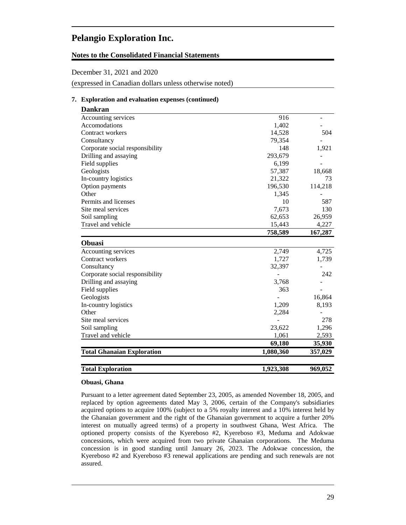#### **Notes to the Consolidated Financial Statements**

#### December 31, 2021 and 2020

(expressed in Canadian dollars unless otherwise noted)

#### **7. Exploration and evaluation expenses (continued)**

| <b>Dankran</b>                    |           |         |
|-----------------------------------|-----------|---------|
| Accounting services               | 916       |         |
| Accomodations                     | 1,402     |         |
| Contract workers                  | 14,528    | 504     |
| Consultancy                       | 79,354    |         |
| Corporate social responsibility   | 148       | 1,921   |
| Drilling and assaying             | 293,679   |         |
| Field supplies                    | 6,199     |         |
| Geologists                        | 57,387    | 18,668  |
| In-country logistics              | 21,322    | 73      |
| Option payments                   | 196,530   | 114,218 |
| Other                             | 1,345     |         |
| Permits and licenses              | 10        | 587     |
| Site meal services                | 7,673     | 130     |
| Soil sampling                     | 62,653    | 26,959  |
| Travel and vehicle                | 15,443    | 4,227   |
|                                   | 758,589   | 167,287 |
| Obuasi                            |           |         |
| Accounting services               | 2,749     | 4,725   |
| Contract workers                  | 1,727     | 1,739   |
| Consultancy                       | 32,397    |         |
| Corporate social responsibility   |           | 242     |
| Drilling and assaying             | 3,768     |         |
| Field supplies                    | 363       |         |
| Geologists                        |           | 16,864  |
| In-country logistics              | 1,209     | 8,193   |
| Other                             | 2,284     |         |
| Site meal services                |           | 278     |
| Soil sampling                     | 23,622    | 1,296   |
| Travel and vehicle                | 1,061     | 2,593   |
|                                   | 69,180    | 35,930  |
| <b>Total Ghanaian Exploration</b> | 1,080,360 | 357,029 |
|                                   |           |         |
| <b>Total Exploration</b>          | 1,923,308 | 969,052 |

#### **Obuasi, Ghana**

Pursuant to a letter agreement dated September 23, 2005, as amended November 18, 2005, and replaced by option agreements dated May 3, 2006, certain of the Company's subsidiaries acquired options to acquire 100% (subject to a 5% royalty interest and a 10% interest held by the Ghanaian government and the right of the Ghanaian government to acquire a further 20% interest on mutually agreed terms) of a property in southwest Ghana, West Africa. The optioned property consists of the Kyereboso #2, Kyereboso #3, Meduma and Adokwae concessions, which were acquired from two private Ghanaian corporations. The Meduma concession is in good standing until January 26, 2023. The Adokwae concession, the Kyereboso #2 and Kyereboso #3 renewal applications are pending and such renewals are not assured.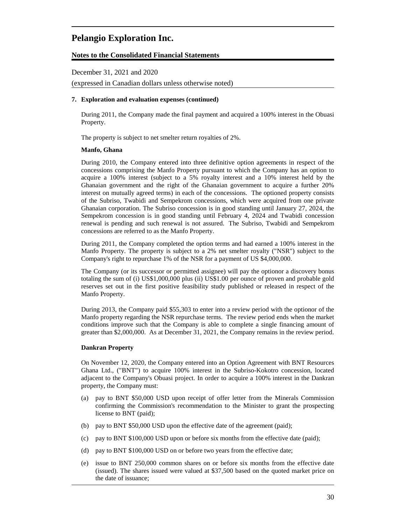#### **Notes to the Consolidated Financial Statements**

#### December 31, 2021 and 2020

(expressed in Canadian dollars unless otherwise noted)

#### **7. Exploration and evaluation expenses (continued)**

During 2011, the Company made the final payment and acquired a 100% interest in the Obuasi Property.

The property is subject to net smelter return royalties of 2%.

#### **Manfo, Ghana**

During 2010, the Company entered into three definitive option agreements in respect of the concessions comprising the Manfo Property pursuant to which the Company has an option to acquire a 100% interest (subject to a 5% royalty interest and a 10% interest held by the Ghanaian government and the right of the Ghanaian government to acquire a further 20% interest on mutually agreed terms) in each of the concessions. The optioned property consists of the Subriso, Twabidi and Sempekrom concessions, which were acquired from one private Ghanaian corporation. The Subriso concession is in good standing until January 27, 2024, the Sempekrom concession is in good standing until February 4, 2024 and Twabidi concession renewal is pending and such renewal is not assured. The Subriso, Twabidi and Sempekrom concessions are referred to as the Manfo Property.

During 2011, the Company completed the option terms and had earned a 100% interest in the Manfo Property. The property is subject to a 2% net smelter royalty ("NSR") subject to the Company's right to repurchase 1% of the NSR for a payment of US \$4,000,000.

The Company (or its successor or permitted assignee) will pay the optionor a discovery bonus totaling the sum of (i) US\$1,000,000 plus (ii) US\$1.00 per ounce of proven and probable gold reserves set out in the first positive feasibility study published or released in respect of the Manfo Property.

During 2013, the Company paid \$55,303 to enter into a review period with the optionor of the Manfo property regarding the NSR repurchase terms. The review period ends when the market conditions improve such that the Company is able to complete a single financing amount of greater than \$2,000,000. As at December 31, 2021, the Company remains in the review period.

#### **Dankran Property**

On November 12, 2020, the Company entered into an Option Agreement with BNT Resources Ghana Ltd., ("BNT") to acquire 100% interest in the Subriso-Kokotro concession, located adjacent to the Company's Obuasi project. In order to acquire a 100% interest in the Dankran property, the Company must:

- (a) pay to BNT \$50,000 USD upon receipt of offer letter from the Minerals Commission confirming the Commission's recommendation to the Minister to grant the prospecting license to BNT (paid);
- (b) pay to BNT \$50,000 USD upon the effective date of the agreement (paid);
- (c) pay to BNT \$100,000 USD upon or before six months from the effective date (paid);
- (d) pay to BNT \$100,000 USD on or before two years from the effective date;
- (e) issue to BNT 250,000 common shares on or before six months from the effective date (issued). The shares issued were valued at \$37,500 based on the quoted market price on the date of issuance;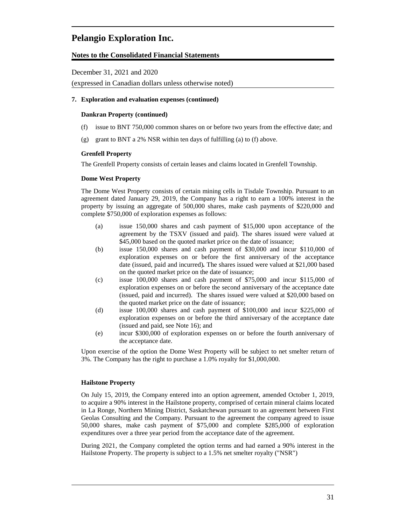#### **Notes to the Consolidated Financial Statements**

December 31, 2021 and 2020

(expressed in Canadian dollars unless otherwise noted)

#### **7. Exploration and evaluation expenses (continued)**

#### **Dankran Property (continued)**

- (f) issue to BNT 750,000 common shares on or before two years from the effective date; and
- (g) grant to BNT a 2% NSR within ten days of fulfilling (a) to (f) above.

#### **Grenfell Property**

The Grenfell Property consists of certain leases and claims located in Grenfell Township.

#### **Dome West Property**

The Dome West Property consists of certain mining cells in Tisdale Township. Pursuant to an agreement dated January 29, 2019, the Company has a right to earn a 100% interest in the property by issuing an aggregate of 500,000 shares, make cash payments of \$220,000 and complete \$750,000 of exploration expenses as follows:

- (a) issue 150,000 shares and cash payment of \$15,000 upon acceptance of the agreement by the TSXV (issued and paid). The shares issued were valued at \$45,000 based on the quoted market price on the date of issuance;
- (b) issue 150,000 shares and cash payment of \$30,000 and incur \$110,000 of exploration expenses on or before the first anniversary of the acceptance date (issued, paid and incurred)*.* The shares issued were valued at \$21,000 based on the quoted market price on the date of issuance;
- (c) issue 100,000 shares and cash payment of \$75,000 and incur \$115,000 of exploration expenses on or before the second anniversary of the acceptance date (issued, paid and incurred). The shares issued were valued at \$20,000 based on the quoted market price on the date of issuance;
- (d) issue 100,000 shares and cash payment of \$100,000 and incur \$225,000 of exploration expenses on or before the third anniversary of the acceptance date (issued and paid, see Note 16); and
- (e) incur \$300,000 of exploration expenses on or before the fourth anniversary of the acceptance date.

Upon exercise of the option the Dome West Property will be subject to net smelter return of 3%. The Company has the right to purchase a 1.0% royalty for \$1,000,000.

#### **Hailstone Property**

On July 15, 2019, the Company entered into an option agreement, amended October 1, 2019, to acquire a 90% interest in the Hailstone property, comprised of certain mineral claims located in La Ronge, Northern Mining District, Saskatchewan pursuant to an agreement between First Geolas Consulting and the Company. Pursuant to the agreement the company agreed to issue 50,000 shares, make cash payment of \$75,000 and complete \$285,000 of exploration expenditures over a three year period from the acceptance date of the agreement.

During 2021, the Company completed the option terms and had earned a 90% interest in the Hailstone Property. The property is subject to a 1.5% net smelter royalty ("NSR")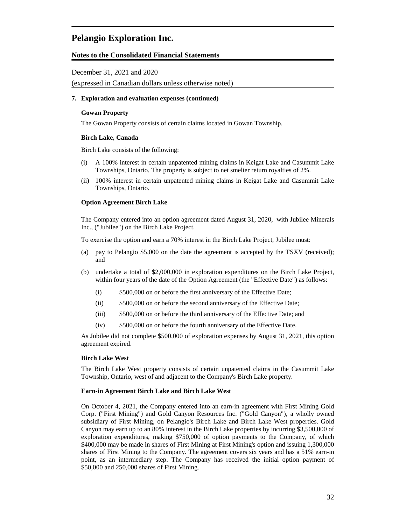#### **Notes to the Consolidated Financial Statements**

#### December 31, 2021 and 2020

(expressed in Canadian dollars unless otherwise noted)

#### **7. Exploration and evaluation expenses (continued)**

#### **Gowan Property**

The Gowan Property consists of certain claims located in Gowan Township.

#### **Birch Lake, Canada**

Birch Lake consists of the following:

- (i) A 100% interest in certain unpatented mining claims in Keigat Lake and Casummit Lake Townships, Ontario. The property is subject to net smelter return royalties of 2%.
- (ii) 100% interest in certain unpatented mining claims in Keigat Lake and Casummit Lake Townships, Ontario.

#### **Option Agreement Birch Lake**

The Company entered into an option agreement dated August 31, 2020, with Jubilee Minerals Inc., ("Jubilee") on the Birch Lake Project.

To exercise the option and earn a 70% interest in the Birch Lake Project, Jubilee must:

- (a) pay to Pelangio \$5,000 on the date the agreement is accepted by the TSXV (received); and
- (b) undertake a total of \$2,000,000 in exploration expenditures on the Birch Lake Project, within four years of the date of the Option Agreement (the "Effective Date") as follows:
	- (i) \$500,000 on or before the first anniversary of the Effective Date;
	- (ii) \$500,000 on or before the second anniversary of the Effective Date;
	- (iii) \$500,000 on or before the third anniversary of the Effective Date; and
	- (iv) \$500,000 on or before the fourth anniversary of the Effective Date.

As Jubilee did not complete \$500,000 of exploration expenses by August 31, 2021, this option agreement expired.

#### **Birch Lake West**

The Birch Lake West property consists of certain unpatented claims in the Casummit Lake Township, Ontario, west of and adjacent to the Company's Birch Lake property.

#### **Earn-in Agreement Birch Lake and Birch Lake West**

On October 4, 2021, the Company entered into an earn-in agreement with First Mining Gold Corp. ("First Mining") and Gold Canyon Resources Inc. ("Gold Canyon"), a wholly owned subsidiary of First Mining, on Pelangio's Birch Lake and Birch Lake West properties. Gold Canyon may earn up to an 80% interest in the Birch Lake properties by incurring \$3,500,000 of exploration expenditures, making \$750,000 of option payments to the Company, of which \$400,000 may be made in shares of First Mining at First Mining's option and issuing 1,300,000 shares of First Mining to the Company. The agreement covers six years and has a 51% earn-in point, as an intermediary step. The Company has received the initial option payment of \$50,000 and 250,000 shares of First Mining.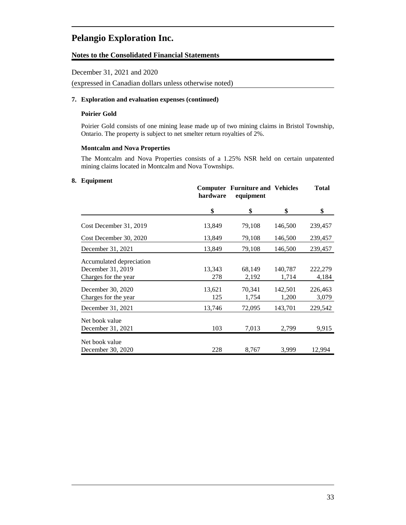#### **Notes to the Consolidated Financial Statements**

December 31, 2021 and 2020

(expressed in Canadian dollars unless otherwise noted)

#### **7. Exploration and evaluation expenses (continued)**

#### **Poirier Gold**

Poirier Gold consists of one mining lease made up of two mining claims in Bristol Township, Ontario. The property is subject to net smelter return royalties of 2%.

#### **Montcalm and Nova Properties**

The Montcalm and Nova Properties consists of a 1.25% NSR held on certain unpatented mining claims located in Montcalm and Nova Townships.

#### **8. Equipment**

|                                                                       | hardware      | <b>Computer Furniture and Vehicles</b><br>equipment |                  | <b>Total</b>     |
|-----------------------------------------------------------------------|---------------|-----------------------------------------------------|------------------|------------------|
|                                                                       | \$            | \$                                                  | \$               | \$               |
| Cost December 31, 2019                                                | 13,849        | 79,108                                              | 146,500          | 239,457          |
| Cost December 30, 2020                                                | 13,849        | 79,108                                              | 146,500          | 239,457          |
| December 31, 2021                                                     | 13,849        | 79,108                                              | 146,500          | 239,457          |
| Accumulated depreciation<br>December 31, 2019<br>Charges for the year | 13,343<br>278 | 68,149<br>2,192                                     | 140,787<br>1,714 | 222,279<br>4,184 |
| December 30, 2020<br>Charges for the year                             | 13,621<br>125 | 70,341<br>1,754                                     | 142,501<br>1,200 | 226,463<br>3,079 |
| December 31, 2021                                                     | 13,746        | 72,095                                              | 143,701          | 229,542          |
| Net book value<br>December 31, 2021                                   | 103           | 7,013                                               | 2,799            | 9,915            |
| Net book value<br>December 30, 2020                                   | 228           | 8,767                                               | 3,999            | 12,994           |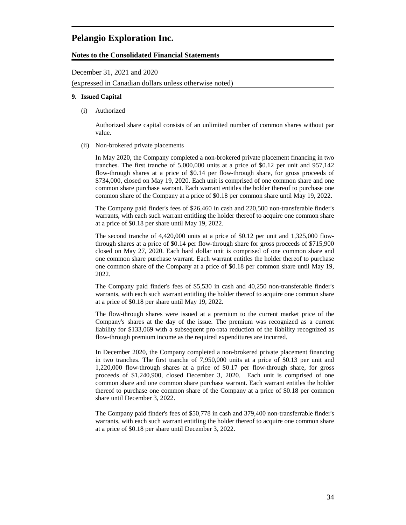#### **Notes to the Consolidated Financial Statements**

#### December 31, 2021 and 2020

(expressed in Canadian dollars unless otherwise noted)

#### **9. Issued Capital**

(i) Authorized

Authorized share capital consists of an unlimited number of common shares without par value.

(ii) Non-brokered private placements

In May 2020, the Company completed a non-brokered private placement financing in two tranches. The first tranche of 5,000,000 units at a price of \$0.12 per unit and 957,142 flow-through shares at a price of \$0.14 per flow-through share, for gross proceeds of \$734,000, closed on May 19, 2020. Each unit is comprised of one common share and one common share purchase warrant. Each warrant entitles the holder thereof to purchase one common share of the Company at a price of \$0.18 per common share until May 19, 2022.

The Company paid finder's fees of \$26,460 in cash and 220,500 non-transferable finder's warrants, with each such warrant entitling the holder thereof to acquire one common share at a price of \$0.18 per share until May 19, 2022.

The second tranche of 4,420,000 units at a price of \$0.12 per unit and 1,325,000 flowthrough shares at a price of \$0.14 per flow-through share for gross proceeds of \$715,900 closed on May 27, 2020. Each hard dollar unit is comprised of one common share and one common share purchase warrant. Each warrant entitles the holder thereof to purchase one common share of the Company at a price of \$0.18 per common share until May 19, 2022.

The Company paid finder's fees of \$5,530 in cash and 40,250 non-transferable finder's warrants, with each such warrant entitling the holder thereof to acquire one common share at a price of \$0.18 per share until May 19, 2022.

The flow-through shares were issued at a premium to the current market price of the Company's shares at the day of the issue. The premium was recognized as a current liability for \$133,069 with a subsequent pro-rata reduction of the liability recognized as flow-through premium income as the required expenditures are incurred.

In December 2020, the Company completed a non-brokered private placement financing in two tranches. The first tranche of 7,950,000 units at a price of \$0.13 per unit and 1,220,000 flow-through shares at a price of \$0.17 per flow-through share, for gross proceeds of \$1,240,900, closed December 3, 2020. Each unit is comprised of one common share and one common share purchase warrant. Each warrant entitles the holder thereof to purchase one common share of the Company at a price of \$0.18 per common share until December 3, 2022.

The Company paid finder's fees of \$50,778 in cash and 379,400 non-transferrable finder's warrants, with each such warrant entitling the holder thereof to acquire one common share at a price of \$0.18 per share until December 3, 2022.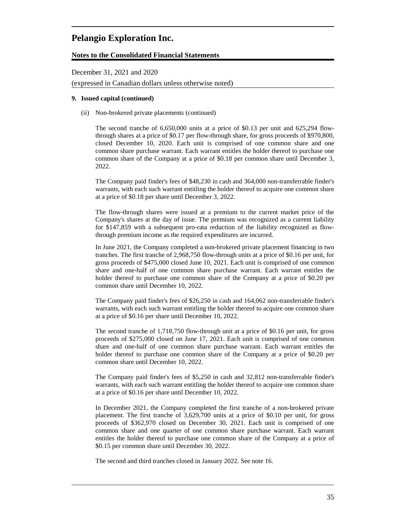#### **Notes to the Consolidated Financial Statements**

#### December 31, 2021 and 2020

(expressed in Canadian dollars unless otherwise noted)

#### **9. Issued capital (continued)**

(ii) Non-brokered private placements (continued)

The second tranche of 6,650,000 units at a price of \$0.13 per unit and 625,294 flowthrough shares at a price of \$0.17 per flow-through share, for gross proceeds of \$970,800, closed December 10, 2020. Each unit is comprised of one common share and one common share purchase warrant. Each warrant entitles the holder thereof to purchase one common share of the Company at a price of \$0.18 per common share until December 3, 2022.

The Company paid finder's fees of \$48,230 in cash and 364,000 non-transferrable finder's warrants, with each such warrant entitling the holder thereof to acquire one common share at a price of \$0.18 per share until December 3, 2022.

The flow-through shares were issued at a premium to the current market price of the Company's shares at the day of issue. The premium was recognized as a current liability for \$147,859 with a subsequent pro-rata reduction of the liability recognized as flowthrough premium income as the required expenditures are incurred.

In June 2021, the Company completed a non-brokered private placement financing in two tranches. The first tranche of 2,968,750 flow-through units at a price of \$0.16 per unit, for gross proceeds of \$475,000 closed June 10, 2021. Each unit is comprised of one common share and one-half of one common share purchase warrant. Each warrant entitles the holder thereof to purchase one common share of the Company at a price of \$0.20 per common share until December 10, 2022.

The Company paid finder's fees of \$26,250 in cash and 164,062 non-transferrable finder's warrants, with each such warrant entitling the holder thereof to acquire one common share at a price of \$0.16 per share until December 10, 2022.

The second tranche of 1,718,750 flow-through unit at a price of \$0.16 per unit, for gross proceeds of \$275,000 closed on June 17, 2021. Each unit is comprised of one common share and one-half of one common share purchase warrant. Each warrant entitles the holder thereof to purchase one common share of the Company at a price of \$0.20 per common share until December 10, 2022.

The Company paid finder's fees of \$5,250 in cash and 32,812 non-transferrable finder's warrants, with each such warrant entitling the holder thereof to acquire one common share at a price of \$0.16 per share until December 10, 2022.

In December 2021, the Company completed the first tranche of a non-brokered private placement. The first tranche of 3,629,700 units at a price of \$0.10 per unit, for gross proceeds of \$362,970 closed on December 30, 2021. Each unit is comprised of one common share and one quarter of one common share purchase warrant. Each warrant entitles the holder thereof to purchase one common share of the Company at a price of \$0.15 per common share until December 30, 2022.

The second and third tranches closed in January 2022. See note 16.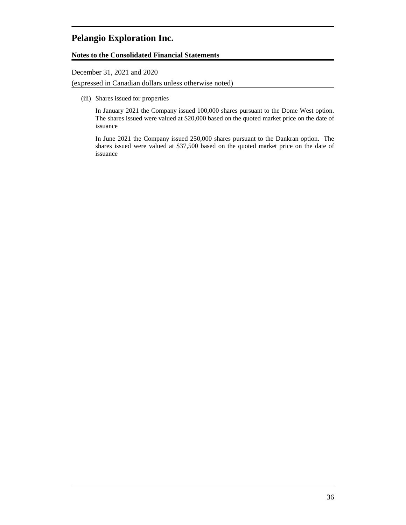### **Notes to the Consolidated Financial Statements**

#### December 31, 2021 and 2020

#### (expressed in Canadian dollars unless otherwise noted)

(iii) Shares issued for properties

In January 2021 the Company issued 100,000 shares pursuant to the Dome West option. The shares issued were valued at \$20,000 based on the quoted market price on the date of issuance

In June 2021 the Company issued 250,000 shares pursuant to the Dankran option. The shares issued were valued at \$37,500 based on the quoted market price on the date of issuance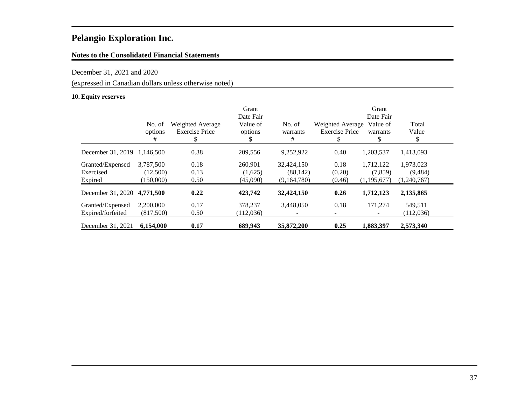### **Notes to the Consolidated Financial Statements**

December 31, 2021 and 2020

(expressed in Canadian dollars unless otherwise noted)

### **10. Equity reserves**

|                             |           |                       | Grant     |             |                       | Grant       |             |  |
|-----------------------------|-----------|-----------------------|-----------|-------------|-----------------------|-------------|-------------|--|
|                             |           |                       | Date Fair |             | Date Fair             |             |             |  |
|                             | No. of    | Weighted Average      | Value of  | No. of      | Weighted Average      | Value of    | Total       |  |
|                             | options   | <b>Exercise Price</b> | options   | warrants    | <b>Exercise Price</b> | warrants    | Value       |  |
|                             | #         | Ф                     | \$        | #           | S                     | \$          | \$          |  |
| December 31, 2019 1,146,500 |           | 0.38                  | 209,556   | 9,252,922   | 0.40                  | 1,203,537   | 1,413,093   |  |
| Granted/Expensed            | 3,787,500 | 0.18                  | 260,901   | 32,424,150  | 0.18                  | 1,712,122   | 1,973,023   |  |
| Exercised                   | (12,500)  | 0.13                  | (1,625)   | (88, 142)   | (0.20)                | (7,859)     | (9, 484)    |  |
| Expired                     | (150,000) | 0.50                  | (45,090)  | (9,164,780) | (0.46)                | (1,195,677) | (1,240,767) |  |
| December 31, 2020           | 4,771,500 | 0.22                  | 423,742   | 32,424,150  | 0.26                  | 1,712,123   | 2,135,865   |  |
| Granted/Expensed            | 2,200,000 | 0.17                  | 378.237   | 3,448,050   | 0.18                  | 171,274     | 549,511     |  |
| Expired/forfeited           | (817,500) | 0.50                  | (112,036) |             |                       |             | (112,036)   |  |
| December 31, 2021           | 6.154.000 | 0.17                  | 689,943   | 35,872,200  | 0.25                  | 1,883,397   | 2,573,340   |  |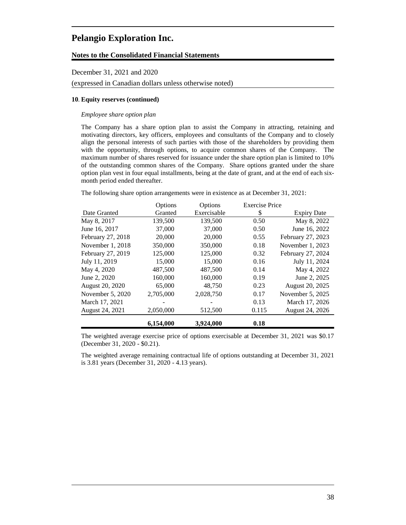#### **Notes to the Consolidated Financial Statements**

#### December 31, 2021 and 2020

(expressed in Canadian dollars unless otherwise noted)

#### **10***.* **Equity reserves (continued)**

#### *Employee share option plan*

The Company has a share option plan to assist the Company in attracting, retaining and motivating directors, key officers, employees and consultants of the Company and to closely align the personal interests of such parties with those of the shareholders by providing them with the opportunity, through options, to acquire common shares of the Company. The maximum number of shares reserved for issuance under the share option plan is limited to 10% of the outstanding common shares of the Company. Share options granted under the share option plan vest in four equal installments, being at the date of grant, and at the end of each sixmonth period ended thereafter.

The following share option arrangements were in existence as at December 31, 2021:

|                   | Options   | Options     | <b>Exercise Price</b> |                    |
|-------------------|-----------|-------------|-----------------------|--------------------|
| Date Granted      | Granted   | Exercisable | \$                    | <b>Expiry Date</b> |
| May 8, 2017       | 139,500   | 139,500     | 0.50                  | May 8, 2022        |
| June 16, 2017     | 37,000    | 37,000      | 0.50                  | June 16, 2022      |
| February 27, 2018 | 20,000    | 20,000      | 0.55                  | February 27, 2023  |
| November 1, 2018  | 350,000   | 350,000     | 0.18                  | November 1, 2023   |
| February 27, 2019 | 125,000   | 125,000     | 0.32                  | February 27, 2024  |
| July 11, 2019     | 15,000    | 15,000      | 0.16                  | July 11, 2024      |
| May 4, 2020       | 487,500   | 487,500     | 0.14                  | May 4, 2022        |
| June 2, 2020      | 160,000   | 160,000     | 0.19                  | June 2, 2025       |
| August 20, 2020   | 65,000    | 48,750      | 0.23                  | August 20, 2025    |
| November 5, 2020  | 2,705,000 | 2,028,750   | 0.17                  | November 5, 2025   |
| March 17, 2021    |           |             | 0.13                  | March 17, 2026     |
| August 24, 2021   | 2,050,000 | 512,500     | 0.115                 | August 24, 2026    |
|                   | 6,154,000 | 3,924,000   | 0.18                  |                    |

The weighted average exercise price of options exercisable at December 31, 2021 was \$0.17 (December 31, 2020 - \$0.21).

The weighted average remaining contractual life of options outstanding at December 31, 2021 is 3.81 years (December 31, 2020 - 4.13 years).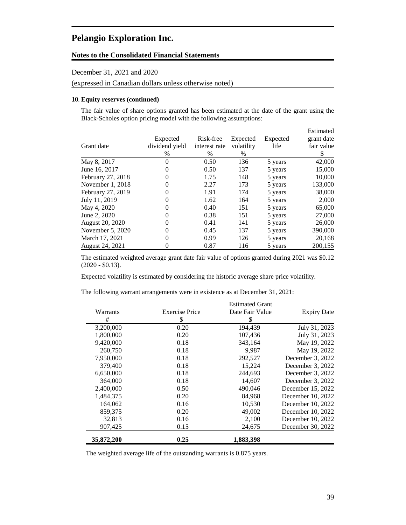#### **Notes to the Consolidated Financial Statements**

#### December 31, 2021 and 2020

(expressed in Canadian dollars unless otherwise noted)

#### **10***.* **Equity reserves (continued)**

The fair value of share options granted has been estimated at the date of the grant using the Black-Scholes option pricing model with the following assumptions:

| Grant date        | Expected<br>dividend yield<br>$\%$ | Risk-free<br>interest rate<br>$\%$ | Expected<br>volatility<br>% | Expected<br>life | Estimated<br>grant date<br>fair value<br>\$ |
|-------------------|------------------------------------|------------------------------------|-----------------------------|------------------|---------------------------------------------|
| May 8, 2017       | $\Omega$                           | 0.50                               | 136                         | 5 years          | 42,000                                      |
| June 16, 2017     | $\theta$                           | 0.50                               | 137                         | 5 years          | 15,000                                      |
| February 27, 2018 | 0                                  | 1.75                               | 148                         | 5 years          | 10,000                                      |
| November 1, 2018  | $\Omega$                           | 2.27                               | 173                         | 5 years          | 133,000                                     |
| February 27, 2019 | $\Omega$                           | 1.91                               | 174                         | 5 years          | 38,000                                      |
| July 11, 2019     | $\Omega$                           | 1.62                               | 164                         | 5 years          | 2,000                                       |
| May 4, 2020       | $\Omega$                           | 0.40                               | 151                         | 5 years          | 65,000                                      |
| June 2, 2020      | $\Omega$                           | 0.38                               | 151                         | 5 years          | 27,000                                      |
| August 20, 2020   | 0                                  | 0.41                               | 141                         | 5 years          | 26,000                                      |
| November 5, 2020  | $\Omega$                           | 0.45                               | 137                         | 5 years          | 390,000                                     |
| March 17, 2021    | 0                                  | 0.99                               | 126                         | 5 years          | 20,168                                      |
| August 24, 2021   | $\Omega$                           | 0.87                               | 116                         | 5 years          | 200,155                                     |

The estimated weighted average grant date fair value of options granted during 2021 was \$0.12  $(2020 - $0.13)$ .

Expected volatility is estimated by considering the historic average share price volatility.

The following warrant arrangements were in existence as at December 31, 2021:

|            |                       | <b>Estimated Grant</b> |                    |
|------------|-----------------------|------------------------|--------------------|
| Warrants   | <b>Exercise Price</b> | Date Fair Value        | <b>Expiry Date</b> |
| #          | S                     | \$                     |                    |
| 3,200,000  | 0.20                  | 194,439                | July 31, 2023      |
| 1,800,000  | 0.20                  | 107,436                | July 31, 2023      |
| 9,420,000  | 0.18                  | 343,164                | May 19, 2022       |
| 260,750    | 0.18                  | 9,987                  | May 19, 2022       |
| 7,950,000  | 0.18                  | 292,527                | December 3, 2022   |
| 379,400    | 0.18                  | 15,224                 | December 3, 2022   |
| 6,650,000  | 0.18                  | 244,693                | December 3, 2022   |
| 364,000    | 0.18                  | 14,607                 | December 3, 2022   |
| 2,400,000  | 0.50                  | 490,046                | December 15, 2022  |
| 1,484,375  | 0.20                  | 84,968                 | December 10, 2022  |
| 164,062    | 0.16                  | 10,530                 | December 10, 2022  |
| 859,375    | 0.20                  | 49,002                 | December 10, 2022  |
| 32,813     | 0.16                  | 2,100                  | December 10, 2022  |
| 907,425    | 0.15                  | 24,675                 | December 30, 2022  |
| 35,872,200 | 0.25                  | 1,883,398              |                    |

The weighted average life of the outstanding warrants is 0.875 years.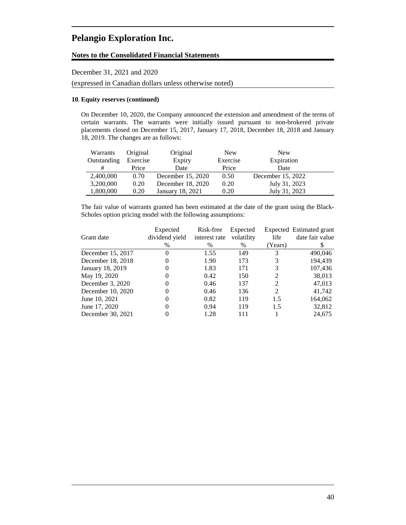#### **Notes to the Consolidated Financial Statements**

#### December 31, 2021 and 2020

(expressed in Canadian dollars unless otherwise noted)

#### **10***.* **Equity reserves (continued)**

On December 10, 2020, the Company announced the extension and amendment of the terms of certain warrants. The warrants were initially issued pursuant to non-brokered private placements closed on December 15, 2017, January 17, 2018, December 18, 2018 and January 18, 2019. The changes are as follows:

| Warrants    | Original | Original          | <b>New</b> | <b>New</b>        |
|-------------|----------|-------------------|------------|-------------------|
| Outstanding | Exercise | Expiry            | Exercise   | Expiration        |
| #           | Price    | Date              | Price      | Date              |
| 2,400,000   | 0.70     | December 15, 2020 | 0.50       | December 15, 2022 |
| 3,200,000   | 0.20     | December 18, 2020 | 0.20       | July 31, 2023     |
| 1,800,000   | 0.20     | January 18, 2021  | 0.20       | July 31, 2023     |

The fair value of warrants granted has been estimated at the date of the grant using the Black-Scholes option pricing model with the following assumptions:

|                   | Expected       | Risk-free     | Expected   |         | Expected Estimated grant |
|-------------------|----------------|---------------|------------|---------|--------------------------|
| Grant date        | dividend yield | interest rate | volatility | life    | date fair value          |
|                   | $\%$           | %             | %          | (Years) |                          |
| December 15, 2017 | $\Omega$       | 1.55          | 149        | 3       | 490,046                  |
| December 18, 2018 |                | 1.90          | 173        |         | 194,439                  |
| January 18, 2019  |                | 1.83          | 171        | 3       | 107,436                  |
| May 19, 2020      |                | 0.42          | 150        | 2       | 38,013                   |
| December 3, 2020  |                | 0.46          | 137        | 2       | 47,013                   |
| December 10, 2020 |                | 0.46          | 136        | 2       | 41,742                   |
| June 10, 2021     |                | 0.82          | 119        | 1.5     | 164,062                  |
| June 17, 2020     | $\theta$       | 0.94          | 119        | 1.5     | 32,812                   |
| December 30, 2021 |                | 1.28          | 111        |         | 24.675                   |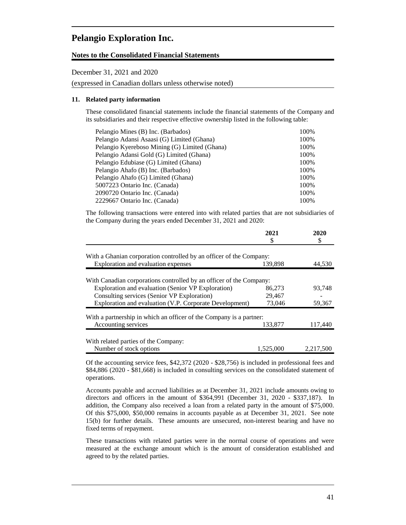#### **Notes to the Consolidated Financial Statements**

#### December 31, 2021 and 2020

(expressed in Canadian dollars unless otherwise noted)

#### **11. Related party information**

These consolidated financial statements include the financial statements of the Company and its subsidiaries and their respective effective ownership listed in the following table:

| Pelangio Mines (B) Inc. (Barbados)            | 100% |
|-----------------------------------------------|------|
| Pelangio Adansi Asaasi (G) Limited (Ghana)    | 100% |
| Pelangio Kyereboso Mining (G) Limited (Ghana) | 100% |
| Pelangio Adansi Gold (G) Limited (Ghana)      | 100% |
| Pelangio Edubiase (G) Limited (Ghana)         | 100% |
| Pelangio Ahafo (B) Inc. (Barbados)            | 100% |
| Pelangio Ahafo (G) Limited (Ghana)            | 100% |
| 5007223 Ontario Inc. (Canada)                 | 100% |
| 2090720 Ontario Inc. (Canada)                 | 100% |
| 2229667 Ontario Inc. (Canada)                 | 100% |

The following transactions were entered into with related parties that are not subsidiaries of the Company during the years ended December 31, 2021 and 2020:

|                                                                     | 2021      | 2020      |
|---------------------------------------------------------------------|-----------|-----------|
|                                                                     | \$        | \$        |
| With a Ghanian corporation controlled by an officer of the Company: |           |           |
| Exploration and evaluation expenses                                 | 139.898   | 44,530    |
|                                                                     |           |           |
| With Canadian corporations controlled by an officer of the Company: |           |           |
| Exploration and evaluation (Senior VP Exploration)                  | 86,273    | 93,748    |
| Consulting services (Senior VP Exploration)                         | 29,467    |           |
| Exploration and evaluation (V.P. Corporate Development)             | 73,046    | 59,367    |
| With a partnership in which an officer of the Company is a partner: |           |           |
| Accounting services                                                 | 133,877   | 117,440   |
|                                                                     |           |           |
| With related parties of the Company:                                |           |           |
| Number of stock options                                             | 1.525,000 | 2.217.500 |

Of the accounting service fees, \$42,372 (2020 - \$28,756) is included in professional fees and \$84,886 (2020 - \$81,668) is included in consulting services on the consolidated statement of operations.

Accounts payable and accrued liabilities as at December 31, 2021 include amounts owing to directors and officers in the amount of \$364,991 (December 31, 2020 - \$337,187). In addition, the Company also received a loan from a related party in the amount of \$75,000. Of this \$75,000, \$50,000 remains in accounts payable as at December 31, 2021. See note 15(b) for further details. These amounts are unsecured, non-interest bearing and have no fixed terms of repayment.

These transactions with related parties were in the normal course of operations and were measured at the exchange amount which is the amount of consideration established and agreed to by the related parties.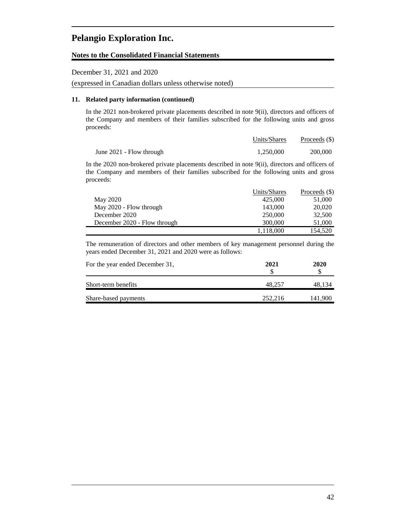#### **Notes to the Consolidated Financial Statements**

#### December 31, 2021 and 2020

(expressed in Canadian dollars unless otherwise noted)

#### **11. Related party information (continued)**

In the 2021 non-brokered private placements described in note  $9(ii)$ , directors and officers of the Company and members of their families subscribed for the following units and gross proceeds:

|                          | Units/Shares | Proceeds $(\$)$ |
|--------------------------|--------------|-----------------|
| June 2021 - Flow through | 1.250,000    | 200,000         |

In the 2020 non-brokered private placements described in note 9(ii), directors and officers of the Company and members of their families subscribed for the following units and gross proceeds:

|                              | Units/Shares | Proceeds (\$) |
|------------------------------|--------------|---------------|
| May 2020                     | 425,000      | 51,000        |
| May 2020 - Flow through      | 143,000      | 20,020        |
| December 2020                | 250,000      | 32,500        |
| December 2020 - Flow through | 300,000      | 51,000        |
|                              | 1.118.000    | 154.520       |

The remuneration of directors and other members of key management personnel during the years ended December 31, 2021 and 2020 were as follows:

| For the year ended December 31, | 2021    | 2020    |
|---------------------------------|---------|---------|
| Short-term benefits             | 48.257  | 48.134  |
| Share-based payments            | 252,216 | 141.900 |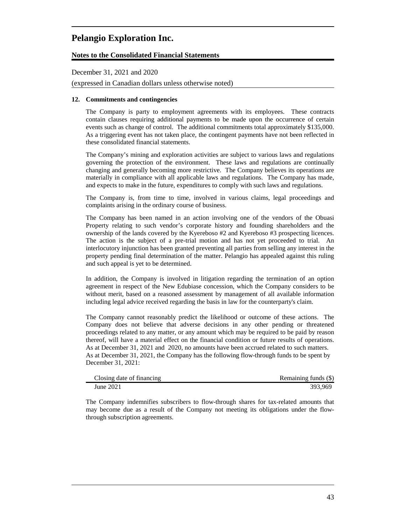#### **Notes to the Consolidated Financial Statements**

#### December 31, 2021 and 2020

#### (expressed in Canadian dollars unless otherwise noted)

#### **12. Commitments and contingencies**

The Company is party to employment agreements with its employees. These contracts contain clauses requiring additional payments to be made upon the occurrence of certain events such as change of control. The additional commitments total approximately \$135,000. As a triggering event has not taken place, the contingent payments have not been reflected in these consolidated financial statements.

The Company's mining and exploration activities are subject to various laws and regulations governing the protection of the environment. These laws and regulations are continually changing and generally becoming more restrictive. The Company believes its operations are materially in compliance with all applicable laws and regulations. The Company has made, and expects to make in the future, expenditures to comply with such laws and regulations.

The Company is, from time to time, involved in various claims, legal proceedings and complaints arising in the ordinary course of business.

The Company has been named in an action involving one of the vendors of the Obuasi Property relating to such vendor's corporate history and founding shareholders and the ownership of the lands covered by the Kyereboso #2 and Kyereboso #3 prospecting licences. The action is the subject of a pre-trial motion and has not yet proceeded to trial. An interlocutory injunction has been granted preventing all parties from selling any interest in the property pending final determination of the matter. Pelangio has appealed against this ruling and such appeal is yet to be determined.

In addition, the Company is involved in litigation regarding the termination of an option agreement in respect of the New Edubiase concession, which the Company considers to be without merit, based on a reasoned assessment by management of all available information including legal advice received regarding the basis in law for the counterparty's claim.

The Company cannot reasonably predict the likelihood or outcome of these actions. The Company does not believe that adverse decisions in any other pending or threatened proceedings related to any matter, or any amount which may be required to be paid by reason thereof, will have a material effect on the financial condition or future results of operations. As at December 31, 2021 and 2020, no amounts have been accrued related to such matters. As at December 31, 2021, the Company has the following flow-through funds to be spent by December 31, 2021:

| Closing date of financing | Remaining funds (\$) |
|---------------------------|----------------------|
| June $2021$               | 393.960              |

The Company indemnifies subscribers to flow-through shares for tax-related amounts that may become due as a result of the Company not meeting its obligations under the flowthrough subscription agreements.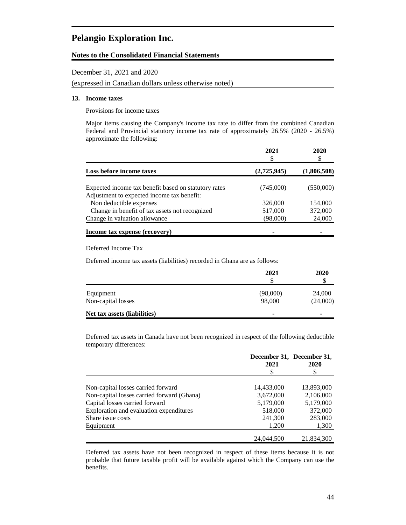#### **Notes to the Consolidated Financial Statements**

#### December 31, 2021 and 2020

(expressed in Canadian dollars unless otherwise noted)

#### **13. Income taxes**

Provisions for income taxes

Major items causing the Company's income tax rate to differ from the combined Canadian Federal and Provincial statutory income tax rate of approximately 26.5% (2020 - 26.5%) approximate the following:

|                                                                                                    | 2021        | 2020<br>S   |
|----------------------------------------------------------------------------------------------------|-------------|-------------|
| Loss before income taxes                                                                           | (2,725,945) | (1,806,508) |
| Expected income tax benefit based on statutory rates<br>Adjustment to expected income tax benefit: | (745,000)   | (550,000)   |
| Non deductible expenses                                                                            | 326,000     | 154,000     |
| Change in benefit of tax assets not recognized                                                     | 517,000     | 372,000     |
| Change in valuation allowance                                                                      | (98,000)    | 24,000      |
| Income tax expense (recovery)                                                                      |             |             |

Deferred Income Tax

Deferred income tax assets (liabilities) recorded in Ghana are as follows:

|                              | 2021     | 2020     |
|------------------------------|----------|----------|
| Equipment                    | (98,000) | 24,000   |
| Non-capital losses           | 98,000   | (24,000) |
| Net tax assets (liabilities) |          |          |

Deferred tax assets in Canada have not been recognized in respect of the following deductible temporary differences:

|                                            | December 31, December 31,<br>2021<br>S | 2020<br>S  |
|--------------------------------------------|----------------------------------------|------------|
|                                            |                                        |            |
| Non-capital losses carried forward         | 14,433,000                             | 13,893,000 |
| Non-capital losses carried forward (Ghana) | 3,672,000                              | 2,106,000  |
| Capital losses carried forward             | 5,179,000                              | 5,179,000  |
| Exploration and evaluation expenditures    | 518,000                                | 372,000    |
| Share issue costs                          | 241,300                                | 283,000    |
| Equipment                                  | 1,200                                  | 1,300      |
|                                            | 24,044,500                             | 21.834.300 |

Deferred tax assets have not been recognized in respect of these items because it is not probable that future taxable profit will be available against which the Company can use the benefits.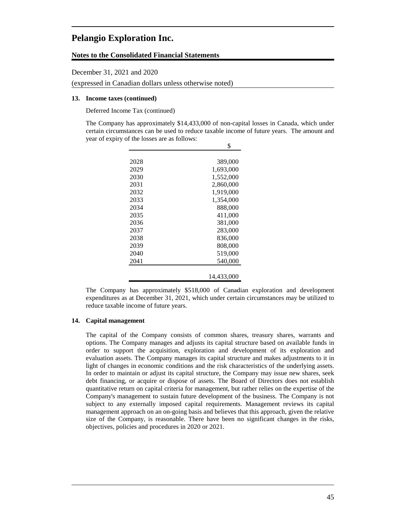#### **Notes to the Consolidated Financial Statements**

#### December 31, 2021 and 2020

(expressed in Canadian dollars unless otherwise noted)

#### **13. Income taxes (continued)**

Deferred Income Tax (continued)

The Company has approximately \$14,433,000 of non-capital losses in Canada, which under certain circumstances can be used to reduce taxable income of future years. The amount and year of expiry of the losses are as follows:  $\ddot{\phantom{a}}$ 

| J          |
|------------|
|            |
| 389,000    |
| 1,693,000  |
| 1,552,000  |
| 2,860,000  |
| 1,919,000  |
| 1,354,000  |
| 888,000    |
| 411,000    |
| 381,000    |
| 283,000    |
| 836,000    |
| 808,000    |
| 519,000    |
| 540,000    |
| 14,433,000 |
|            |

The Company has approximately \$518,000 of Canadian exploration and development expenditures as at December 31, 2021, which under certain circumstances may be utilized to reduce taxable income of future years.

#### **14. Capital management**

The capital of the Company consists of common shares, treasury shares, warrants and options. The Company manages and adjusts its capital structure based on available funds in order to support the acquisition, exploration and development of its exploration and evaluation assets. The Company manages its capital structure and makes adjustments to it in light of changes in economic conditions and the risk characteristics of the underlying assets. In order to maintain or adjust its capital structure, the Company may issue new shares, seek debt financing, or acquire or dispose of assets. The Board of Directors does not establish quantitative return on capital criteria for management, but rather relies on the expertise of the Company's management to sustain future development of the business. The Company is not subject to any externally imposed capital requirements. Management reviews its capital management approach on an on-going basis and believes that this approach, given the relative size of the Company, is reasonable. There have been no significant changes in the risks, objectives, policies and procedures in 2020 or 2021.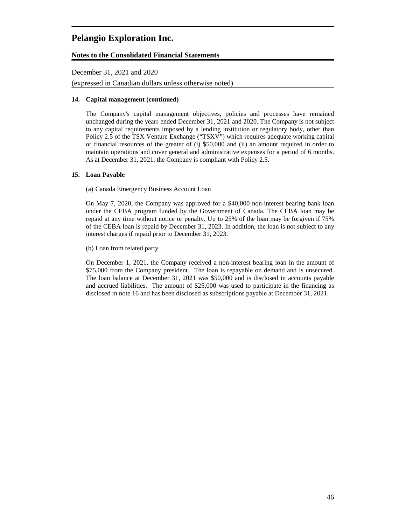#### **Notes to the Consolidated Financial Statements**

#### December 31, 2021 and 2020

(expressed in Canadian dollars unless otherwise noted)

#### **14. Capital management (continued)**

The Company's capital management objectives, policies and processes have remained unchanged during the years ended December 31, 2021 and 2020. The Company is not subject to any capital requirements imposed by a lending institution or regulatory body, other than Policy 2.5 of the TSX Venture Exchange ("TSXV") which requires adequate working capital or financial resources of the greater of (i) \$50,000 and (ii) an amount required in order to maintain operations and cover general and administrative expenses for a period of 6 months. As at December 31, 2021, the Company is compliant with Policy 2.5.

#### **15. Loan Payable**

#### (a) Canada Emergency Business Account Loan

On May 7, 2020, the Company was approved for a \$40,000 non-interest bearing bank loan under the CEBA program funded by the Government of Canada. The CEBA loan may be repaid at any time without notice or penalty. Up to 25% of the loan may be forgiven if 75% of the CEBA loan is repaid by December 31, 2023. In addition, the loan is not subject to any interest charges if repaid prior to December 31, 2023.

(b) Loan from related party

On December 1, 2021, the Company received a non-interest bearing loan in the amount of \$75,000 from the Company president. The loan is repayable on demand and is unsecured. The loan balance at December 31, 2021 was \$50,000 and is disclosed in accounts payable and accrued liabilities. The amount of \$25,000 was used to participate in the financing as disclosed in note 16 and has been disclosed as subscriptions payable at December 31, 2021.